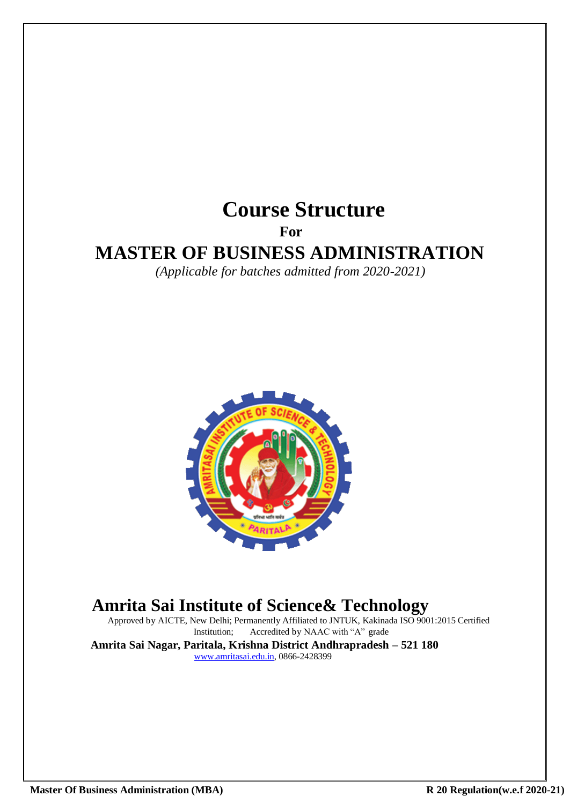# **Course Structure For MASTER OF BUSINESS ADMINISTRATION** *(Applicable for batches admitted from 2020-2021)*



# **Amrita Sai Institute of Science& Technology**

Approved by AICTE, New Delhi; Permanently Affiliated to JNTUK, Kakinada ISO 9001:2015 Certified<br>Institution; Accredited by NAAC with "A" grade Accredited by NAAC with "A" grade

**Amrita Sai Nagar, Paritala, Krishna District Andhrapradesh – 521 180** [www.amritasai.edu.in, 0](http://www.amritasai.edu.in/)866-2428399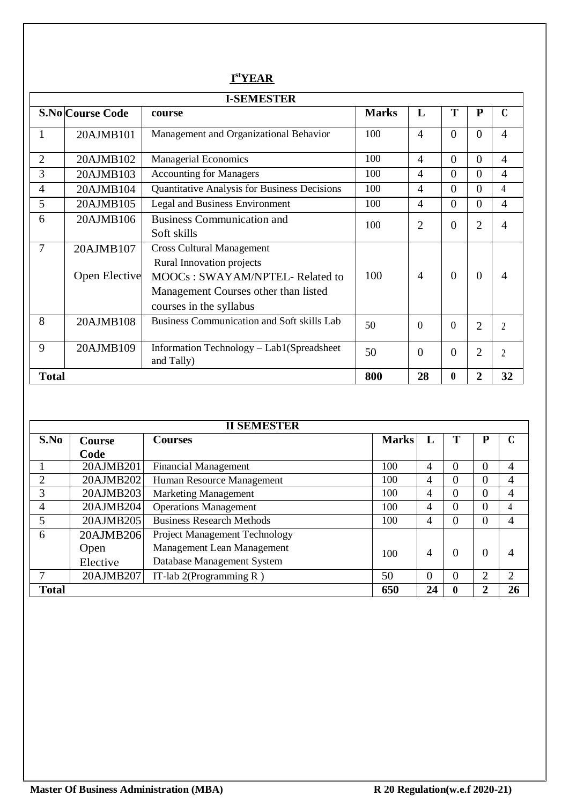# **I stYEAR**

|                |                            | <b>I-SEMESTER</b>                                                                                                                                                          |              |                |                |                |                |
|----------------|----------------------------|----------------------------------------------------------------------------------------------------------------------------------------------------------------------------|--------------|----------------|----------------|----------------|----------------|
|                | <b>S.No Course Code</b>    | course                                                                                                                                                                     | <b>Marks</b> | L              | T              | ${\bf P}$      | $\mathbf C$    |
| 1              | 20AJMB101                  | Management and Organizational Behavior                                                                                                                                     | 100          | $\overline{4}$ | $\overline{0}$ | $\overline{0}$ | $\overline{4}$ |
| $\overline{2}$ | 20AJMB102                  | <b>Managerial Economics</b>                                                                                                                                                | 100          | $\overline{4}$ | $\theta$       | $\overline{0}$ | $\overline{4}$ |
| 3              | 20AJMB103                  | <b>Accounting for Managers</b>                                                                                                                                             | 100          | $\overline{4}$ | $\overline{0}$ | $\theta$       | $\overline{4}$ |
| 4              | 20AJMB104                  | Quantitative Analysis for Business Decisions                                                                                                                               | 100          | $\overline{4}$ | $\overline{0}$ | $\overline{0}$ | $\overline{4}$ |
| 5              | 20AJMB105                  | Legal and Business Environment                                                                                                                                             | 100          | $\overline{4}$ | $\overline{0}$ | $\overline{0}$ | $\overline{4}$ |
| 6              | 20AJMB106                  | <b>Business Communication and</b><br>Soft skills                                                                                                                           | 100          | 2              | $\overline{0}$ | $\overline{2}$ | 4              |
| $\overline{7}$ | 20AJMB107<br>Open Elective | <b>Cross Cultural Management</b><br><b>Rural Innovation projects</b><br>MOOCs: SWAYAM/NPTEL- Related to<br>Management Courses other than listed<br>courses in the syllabus | 100          | 4              | $\overline{0}$ | $\overline{0}$ | 4              |
| 8              | 20AJMB108                  | <b>Business Communication and Soft skills Lab</b>                                                                                                                          | 50           | $\theta$       | $\overline{0}$ | $\overline{2}$ | $\overline{2}$ |
| 9              | 20AJMB109                  | Information Technology - Lab1(Spreadsheet<br>and Tally)                                                                                                                    | 50           | $\theta$       | $\theta$       | $\overline{2}$ | $\mathfrak{D}$ |
| <b>Total</b>   |                            |                                                                                                                                                                            | 800          | 28             | 0              | $\overline{2}$ | 32             |

|              |           | <b>II SEMESTER</b>                   |              |          |          |                |                |
|--------------|-----------|--------------------------------------|--------------|----------|----------|----------------|----------------|
| S.No         | Course    | Courses                              | <b>Marks</b> | L        |          | ${\bf P}$      | C              |
|              | Code      |                                      |              |          |          |                |                |
|              | 20AJMB201 | <b>Financial Management</b>          | 100          | 4        | 0        | 0              | $\overline{4}$ |
|              | 20AJMB202 | Human Resource Management            | 100          | 4        | $\Omega$ | $\Omega$       | 4              |
| 3            | 20AJMB203 | <b>Marketing Management</b>          | 100          | 4        | $\theta$ | $\overline{0}$ | 4              |
| 4            | 20AJMB204 | <b>Operations Management</b>         | 100          | 4        | $\theta$ | $\theta$       | 4              |
| 5            | 20AJMB205 | <b>Business Research Methods</b>     | 100          | 4        | 0        | $\overline{0}$ | 4              |
| 6            | 20AJMB206 | <b>Project Management Technology</b> |              |          |          |                |                |
|              | Open      | Management Lean Management           | 100          | 4        | $\theta$ | 0              | $\overline{4}$ |
|              | Elective  | Database Management System           |              |          |          |                |                |
|              | 20AJMB207 | IT-lab $2$ (Programming R)           | 50           | $\Omega$ | $\theta$ | 2              | 2              |
| <b>Total</b> |           |                                      | 650          | 24       | 0        | $\overline{2}$ | 26             |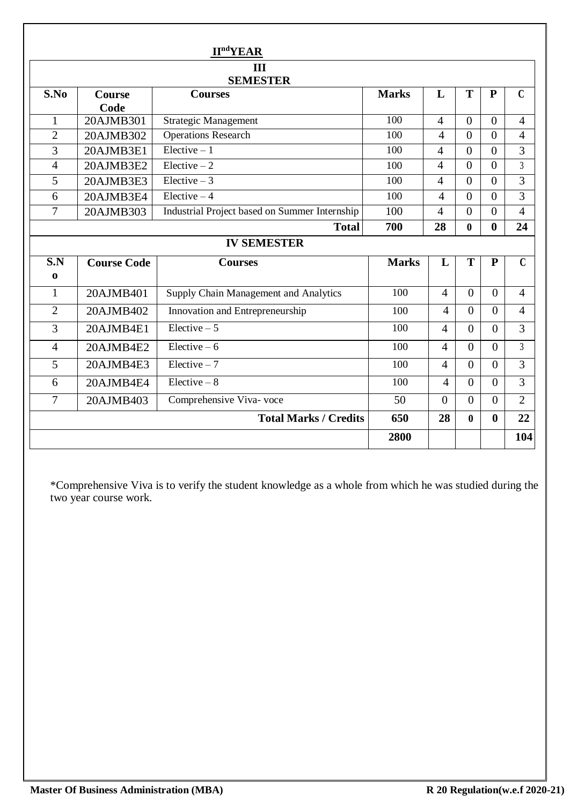|                |                    | <b>II<sup>nd</sup>YEAR</b>                    |              |                |                |                |                |
|----------------|--------------------|-----------------------------------------------|--------------|----------------|----------------|----------------|----------------|
|                |                    | III                                           |              |                |                |                |                |
| S.No           | <b>Course</b>      | <b>SEMESTER</b><br><b>Courses</b>             | <b>Marks</b> | L              | T              | $\mathbf{P}$   | $\mathbf{C}$   |
|                | Code               |                                               |              |                |                |                |                |
| $\mathbf{1}$   | $20$ AJMB $301$    | <b>Strategic Management</b>                   | 100          | $\overline{4}$ | $\Omega$       | $\Omega$       | $\overline{4}$ |
| $\overline{2}$ | 20AJMB302          | <b>Operations Research</b>                    | 100          | 4              | $\Omega$       | $\theta$       | $\overline{4}$ |
| 3              | 20AJMB3E1          | Elective $-1$                                 | 100          | $\overline{4}$ | $\overline{0}$ | $\overline{0}$ | 3              |
| $\overline{4}$ | 20AJMB3E2          | $Elective - 2$                                | 100          | $\overline{4}$ | $\overline{0}$ | $\theta$       | $\overline{3}$ |
| 5              | 20AJMB3E3          | Elective $-3$                                 | 100          | 4              | $\Omega$       | $\theta$       | 3              |
| 6              | 20AJMB3E4          | Elective $-4$                                 | 100          | $\overline{4}$ | $\theta$       | $\theta$       | 3              |
| $\overline{7}$ | 20AJMB303          | Industrial Project based on Summer Internship | 100          | $\overline{4}$ | $\theta$       | $\theta$       | $\overline{4}$ |
|                |                    | <b>Total</b>                                  | 700          | 28             | $\mathbf{0}$   | $\bf{0}$       | 24             |
|                |                    | <b>IV SEMESTER</b>                            |              |                |                |                |                |
| S.N            | <b>Course Code</b> | <b>Courses</b>                                | <b>Marks</b> | L              | T              | ${\bf P}$      | $\overline{C}$ |
| $\mathbf 0$    |                    |                                               |              |                |                |                |                |
| 1              | 20AJMB401          | Supply Chain Management and Analytics         | 100          | $\overline{4}$ | $\Omega$       | $\Omega$       | $\overline{4}$ |
| $\overline{2}$ | 20AJMB402          | Innovation and Entrepreneurship               | 100          | $\overline{4}$ | $\Omega$       | $\Omega$       | $\overline{4}$ |
| $\overline{3}$ | 20AJMB4E1          | $Elective-5$                                  |              |                |                |                |                |
|                |                    |                                               | 100          | $\overline{4}$ | $\Omega$       | $\Omega$       | 3              |
| $\overline{4}$ | 20AJMB4E2          | Elective $-6$                                 | 100          | $\overline{4}$ | $\Omega$       | $\theta$       | $\overline{3}$ |
| 5              | 20AJMB4E3          | $Electric - 7$                                | 100          | $\overline{4}$ | $\theta$       | $\Omega$       | 3              |
| 6              | 20AJMB4E4          | $Electric - 8$                                | 100          | $\overline{4}$ | $\Omega$       | $\Omega$       | 3              |
| $\overline{7}$ | 20AJMB403          | Comprehensive Viva- voce                      | 50           | $\Omega$       | $\overline{0}$ | $\overline{0}$ | $\overline{2}$ |
|                |                    | <b>Total Marks / Credits</b>                  | 650          | 28             | $\bf{0}$       | $\mathbf 0$    | 22             |

\*Comprehensive Viva is to verify the student knowledge as a whole from which he was studied during the two year course work.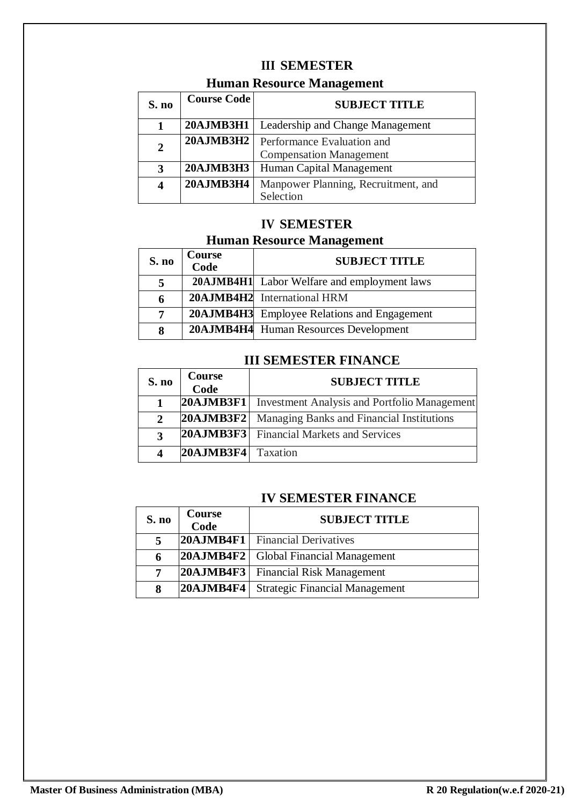# **III SEMESTER**

# **Human Resource Management**

| S. no        | <b>Course Code</b> | <b>SUBJECT TITLE</b>                                         |
|--------------|--------------------|--------------------------------------------------------------|
|              | 20AJMB3H1          | Leadership and Change Management                             |
| $\mathbf{2}$ | <b>20AJMB3H2</b>   | Performance Evaluation and<br><b>Compensation Management</b> |
|              |                    |                                                              |
| 3            | <b>20AJMB3H3</b>   | Human Capital Management                                     |
|              | 20AJMB3H4          | Manpower Planning, Recruitment, and                          |
|              |                    | Selection                                                    |

# **IV SEMESTER**

# **Human Resource Management**

| S. no | <b>Course</b><br>Code | <b>SUBJECT TITLE</b>                        |
|-------|-----------------------|---------------------------------------------|
| 5     |                       | 20AJMB4H1 Labor Welfare and employment laws |
| 6     |                       | 20AJMB4H2 International HRM                 |
| 7     |                       | 20AJMB4H3 Employee Relations and Engagement |
| 8     |                       | 20AJMB4H4 Human Resources Development       |

# **III SEMESTER FINANCE**

| S. no        | Course<br>Code | <b>SUBJECT TITLE</b>                            |
|--------------|----------------|-------------------------------------------------|
|              | 20AJMB3F1      | Investment Analysis and Portfolio Management    |
| $\mathbf{2}$ | 20AJMB3F2      | Managing Banks and Financial Institutions       |
| 3            |                | <b>20AJMB3F3</b> Financial Markets and Services |
| Δ            | 20AJMB3F4      | Taxation                                        |

# **IV SEMESTER FINANCE**

| S. no | Course<br>Code | <b>SUBJECT TITLE</b>                           |
|-------|----------------|------------------------------------------------|
| 5     |                | <b>20AJMB4F1</b> Financial Derivatives         |
| 6     |                | <b>20AJMB4F2</b>   Global Financial Management |
| 7     |                | <b>20AJMB4F3</b> Financial Risk Management     |
| 8     | 20AJMB4F4      | <b>Strategic Financial Management</b>          |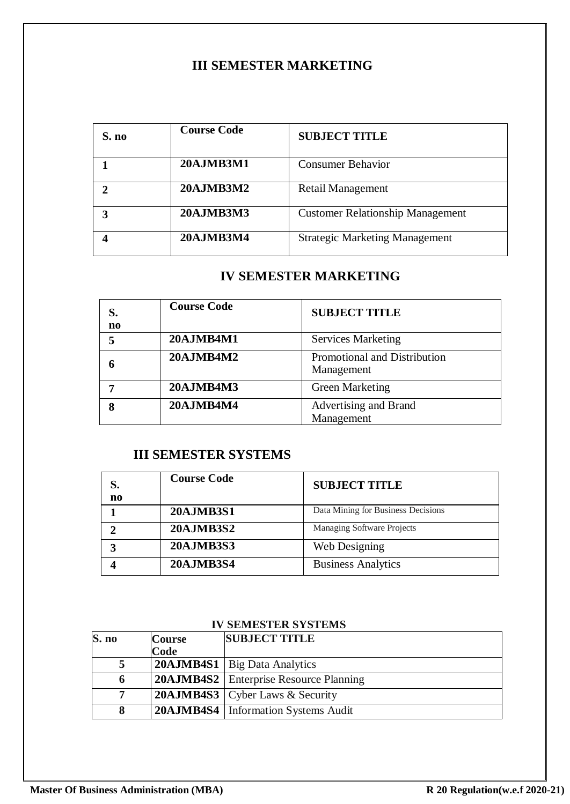# **III SEMESTER MARKETING**

| S. no | <b>Course Code</b> | <b>SUBJECT TITLE</b>                    |
|-------|--------------------|-----------------------------------------|
|       | <b>20AJMB3M1</b>   | <b>Consumer Behavior</b>                |
| າ     | <b>20AJMB3M2</b>   | <b>Retail Management</b>                |
| 3     | <b>20AJMB3M3</b>   | <b>Customer Relationship Management</b> |
|       | <b>20AJMB3M4</b>   | <b>Strategic Marketing Management</b>   |

# **IV SEMESTER MARKETING**

| S.<br>$\mathbf{n}$ | <b>Course Code</b> | <b>SUBJECT TITLE</b>                       |
|--------------------|--------------------|--------------------------------------------|
| 5                  | 20AJMB4M1          | <b>Services Marketing</b>                  |
| n                  | <b>20AJMB4M2</b>   | Promotional and Distribution<br>Management |
|                    | 20AJMB4M3          | <b>Green Marketing</b>                     |
| 8                  | <b>20AJMB4M4</b>   | Advertising and Brand<br>Management        |

# **III SEMESTER SYSTEMS**

| S.<br>n <sub>0</sub> | <b>Course Code</b> | <b>SUBJECT TITLE</b>               |
|----------------------|--------------------|------------------------------------|
|                      | <b>20AJMB3S1</b>   | Data Mining for Business Decisions |
|                      | <b>20AJMB3S2</b>   | Managing Software Projects         |
| 3                    | <b>20AJMB3S3</b>   | Web Designing                      |
|                      | <b>20AJMB3S4</b>   | <b>Business Analytics</b>          |

# **IV SEMESTER SYSTEMS**

| S. no       | <b>Course</b> | <b>SUBJECT TITLE</b>                            |
|-------------|---------------|-------------------------------------------------|
|             | Code          |                                                 |
|             |               | <b>20AJMB4S1</b>   Big Data Analytics           |
| $\mathbf o$ |               | <b>20AJMB4S2</b>   Enterprise Resource Planning |
| $\tau$      |               | <b>20AJMB4S3</b> Cyber Laws & Security          |
|             |               | <b>20AJMB4S4</b>   Information Systems Audit    |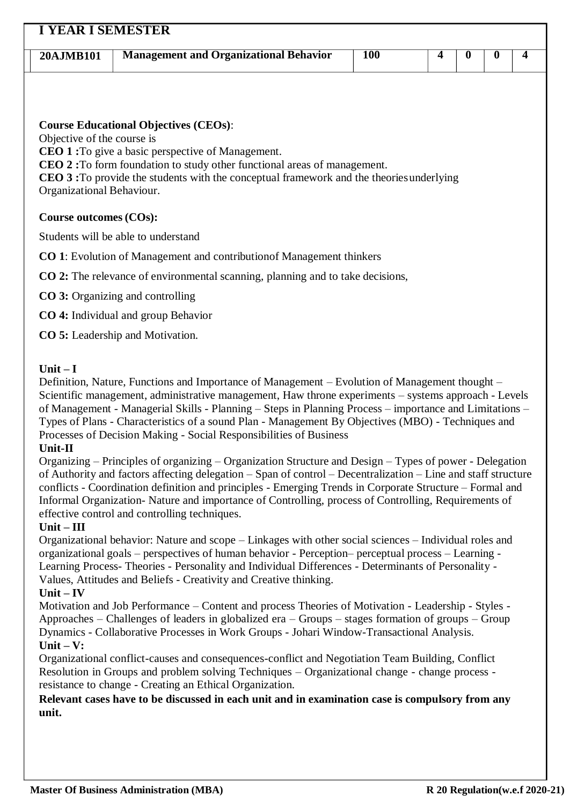| 20AJMB101                  | <b>Management and Organizational Behavior</b>                                                                                                                        | <b>100</b> | 4 | $\bf{0}$ | $\bf{0}$ | 4 |
|----------------------------|----------------------------------------------------------------------------------------------------------------------------------------------------------------------|------------|---|----------|----------|---|
|                            |                                                                                                                                                                      |            |   |          |          |   |
|                            |                                                                                                                                                                      |            |   |          |          |   |
| Objective of the course is | <b>Course Educational Objectives (CEOs):</b>                                                                                                                         |            |   |          |          |   |
|                            | <b>CEO 1:</b> To give a basic perspective of Management.                                                                                                             |            |   |          |          |   |
|                            | CEO 2: To form foundation to study other functional areas of management.<br>CEO 3: To provide the students with the conceptual framework and the theories underlying |            |   |          |          |   |
| Organizational Behaviour.  |                                                                                                                                                                      |            |   |          |          |   |
| Course outcomes (COs):     |                                                                                                                                                                      |            |   |          |          |   |
|                            |                                                                                                                                                                      |            |   |          |          |   |
|                            | Students will be able to understand                                                                                                                                  |            |   |          |          |   |
|                            | <b>CO</b> 1: Evolution of Management and contribution of Management thinkers                                                                                         |            |   |          |          |   |
|                            | <b>CO 2:</b> The relevance of environmental scanning, planning and to take decisions,                                                                                |            |   |          |          |   |
|                            | <b>CO</b> 3: Organizing and controlling                                                                                                                              |            |   |          |          |   |
|                            | <b>CO 4:</b> Individual and group Behavior                                                                                                                           |            |   |          |          |   |

# **Unit – I**

Definition, Nature, Functions and Importance of Management – Evolution of Management thought – Scientific management, administrative management, Haw throne experiments – systems approach - Levels of Management - Managerial Skills - Planning – Steps in Planning Process – importance and Limitations – Types of Plans - Characteristics of a sound Plan - Management By Objectives (MBO) - Techniques and Processes of Decision Making - Social Responsibilities of Business

#### **Unit-II**

Organizing – Principles of organizing – Organization Structure and Design – Types of power - Delegation of Authority and factors affecting delegation – Span of control – Decentralization – Line and staff structure conflicts - Coordination definition and principles - Emerging Trends in Corporate Structure – Formal and Informal Organization- Nature and importance of Controlling, process of Controlling, Requirements of effective control and controlling techniques.

# **Unit – III**

Organizational behavior: Nature and scope – Linkages with other social sciences – Individual roles and organizational goals – perspectives of human behavior - Perception– perceptual process – Learning - Learning Process- Theories - Personality and Individual Differences - Determinants of Personality - Values, Attitudes and Beliefs - Creativity and Creative thinking.

# **Unit – IV**

Motivation and Job Performance – Content and process Theories of Motivation - Leadership - Styles - Approaches – Challenges of leaders in globalized era – Groups – stages formation of groups – Group Dynamics - Collaborative Processes in Work Groups - Johari Window-Transactional Analysis. **Unit – V:**

Organizational conflict-causes and consequences-conflict and Negotiation Team Building, Conflict Resolution in Groups and problem solving Techniques – Organizational change - change process resistance to change - Creating an Ethical Organization.

**Relevant cases have to be discussed in each unit and in examination case is compulsory from any unit.**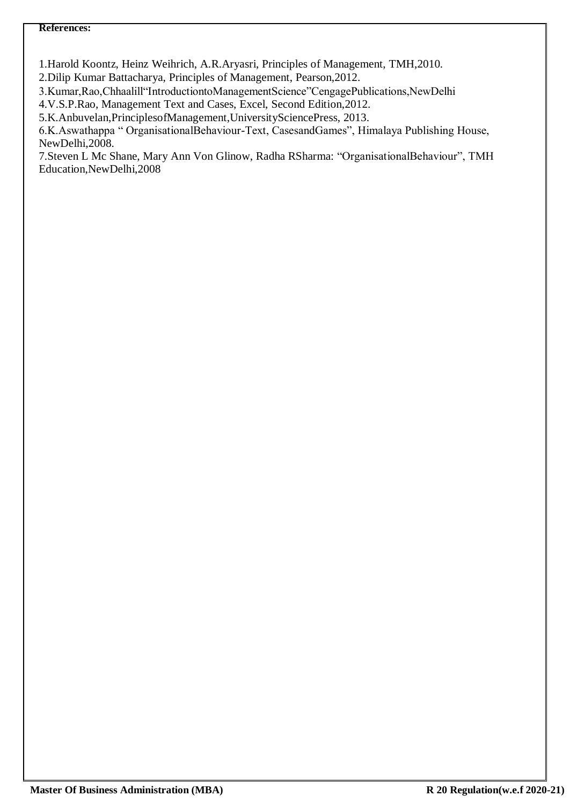1.Harold Koontz, Heinz Weihrich, A.R.Aryasri, Principles of Management, TMH,2010.

2.Dilip Kumar Battacharya, Principles of Management, Pearson,2012.

3.Kumar,Rao,Chhaalill"IntroductiontoManagementScience"CengagePublications,NewDelhi

4.V.S.P.Rao, Management Text and Cases, Excel, Second Edition,2012.

5.K.Anbuvelan,PrinciplesofManagement,UniversitySciencePress, 2013.

6.K.Aswathappa " OrganisationalBehaviour-Text, CasesandGames", Himalaya Publishing House, NewDelhi,2008.

7.Steven L Mc Shane, Mary Ann Von Glinow, Radha RSharma: "OrganisationalBehaviour", TMH Education,NewDelhi,2008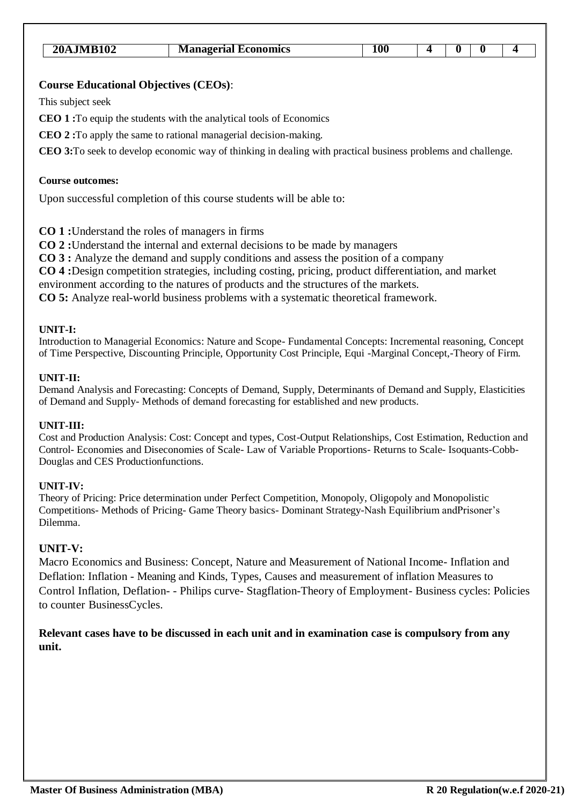| <b>20AJMB102</b> | <b>Managerial Economics</b> |  |  |  |
|------------------|-----------------------------|--|--|--|

This subject seek

**CEO 1 :**To equip the students with the analytical tools of Economics

**CEO 2 :**To apply the same to rational managerial decision-making.

**CEO 3:**To seek to develop economic way of thinking in dealing with practical business problems and challenge.

#### **Course outcomes:**

Upon successful completion of this course students will be able to:

**CO 1 :**Understand the roles of managers in firms

**CO 2 :**Understand the internal and external decisions to be made by managers

**CO 3 :** Analyze the demand and supply conditions and assess the position of a company

**CO 4 :**Design competition strategies, including costing, pricing, product differentiation, and market

environment according to the natures of products and the structures of the markets.

**CO 5:** Analyze real-world business problems with a systematic theoretical framework.

#### **UNIT-I:**

Introduction to Managerial Economics: Nature and Scope- Fundamental Concepts: Incremental reasoning, Concept of Time Perspective, Discounting Principle, Opportunity Cost Principle, Equi -Marginal Concept,-Theory of Firm.

#### **UNIT-II:**

Demand Analysis and Forecasting: Concepts of Demand, Supply, Determinants of Demand and Supply, Elasticities of Demand and Supply- Methods of demand forecasting for established and new products.

#### **UNIT-III:**

Cost and Production Analysis: Cost: Concept and types, Cost-Output Relationships, Cost Estimation, Reduction and Control- Economies and Diseconomies of Scale- Law of Variable Proportions- Returns to Scale- Isoquants-Cobb-Douglas and CES Productionfunctions.

#### **UNIT-IV:**

Theory of Pricing: Price determination under Perfect Competition, Monopoly, Oligopoly and Monopolistic Competitions- Methods of Pricing- Game Theory basics- Dominant Strategy-Nash Equilibrium andPrisoner's Dilemma.

#### **UNIT-V:**

Macro Economics and Business: Concept, Nature and Measurement of National Income- Inflation and Deflation: Inflation - Meaning and Kinds, Types, Causes and measurement of inflation Measures to Control Inflation, Deflation- - Philips curve- Stagflation-Theory of Employment- Business cycles: Policies to counter BusinessCycles.

**Relevant cases have to be discussed in each unit and in examination case is compulsory from any unit.**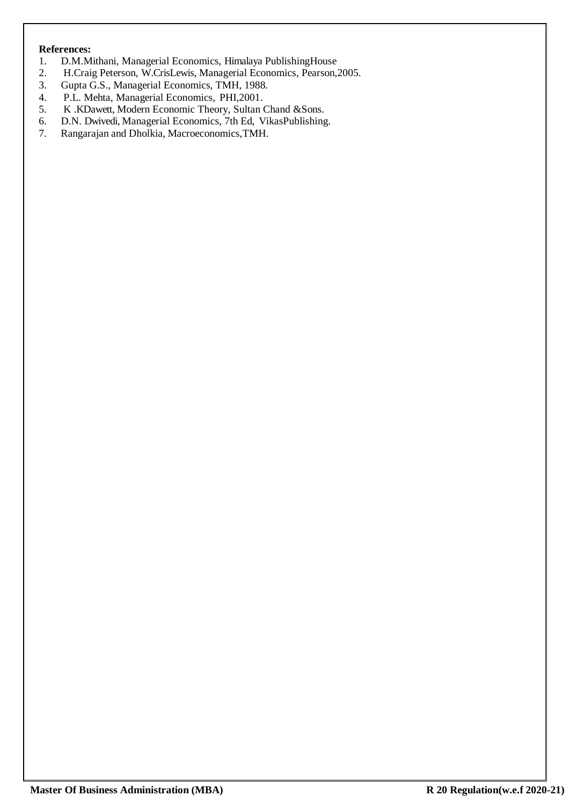- 1. D.M.Mithani, Managerial Economics, Himalaya PublishingHouse
- 2. H.Craig Peterson, W.CrisLewis, Managerial Economics, Pearson,2005.
- 3. Gupta G.S., Managerial Economics, TMH, 1988.
- 4. P.L. Mehta, Managerial Economics, PHI,2001.
- 5. K .KDawett, Modern Economic Theory, Sultan Chand &Sons.
- 6. D.N. Dwivedi, Managerial Economics, 7th Ed, VikasPublishing.<br>7. Rangarajan and Dholkia, Macroeconomics, TMH.
- 7. Rangarajan and Dholkia, Macroeconomics,TMH.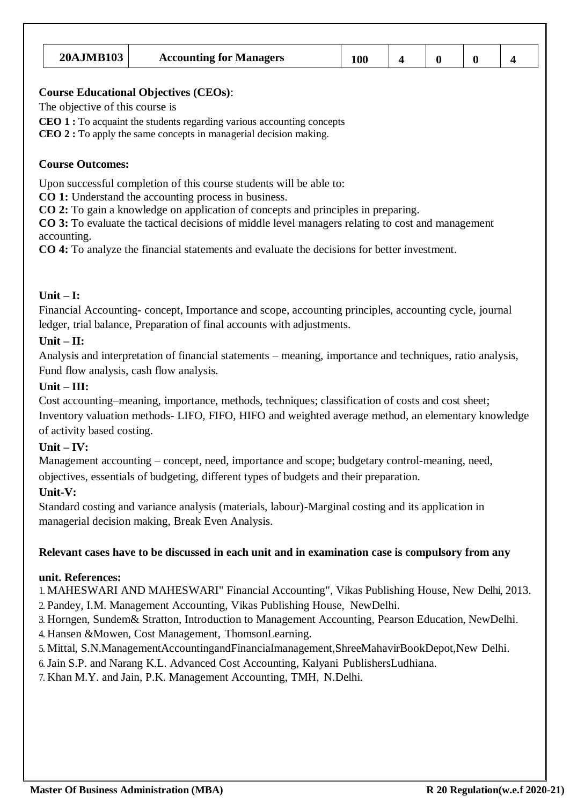| <b>20AJMB103</b> | <b>Accounting for Managers</b> |  |  |  |
|------------------|--------------------------------|--|--|--|

The objective of this course is

**CEO 1 :** To acquaint the students regarding various accounting concepts

**CEO 2 :** To apply the same concepts in managerial decision making.

### **Course Outcomes:**

Upon successful completion of this course students will be able to:

**CO 1:** Understand the accounting process in business.

**CO 2:** To gain a knowledge on application of concepts and principles in preparing.

**CO 3:** To evaluate the tactical decisions of middle level managers relating to cost and management accounting.

**CO 4:** To analyze the financial statements and evaluate the decisions for better investment.

### **Unit – I:**

Financial Accounting- concept, Importance and scope, accounting principles, accounting cycle, journal ledger, trial balance, Preparation of final accounts with adjustments.

### **Unit – II:**

Analysis and interpretation of financial statements – meaning, importance and techniques, ratio analysis, Fund flow analysis, cash flow analysis.

### **Unit – III:**

Cost accounting–meaning, importance, methods, techniques; classification of costs and cost sheet; Inventory valuation methods- LIFO, FIFO, HIFO and weighted average method, an elementary knowledge of activity based costing.

# **Unit – IV:**

Management accounting – concept, need, importance and scope; budgetary control-meaning, need, objectives, essentials of budgeting, different types of budgets and their preparation.

# **Unit-V:**

Standard costing and variance analysis (materials, labour)-Marginal costing and its application in managerial decision making, Break Even Analysis.

#### **Relevant cases have to be discussed in each unit and in examination case is compulsory from any**

#### **unit. References:**

1. MAHESWARI AND MAHESWARI" Financial Accounting", Vikas Publishing House, New Delhi, 2013. 2. Pandey, I.M. Management Accounting, Vikas Publishing House, NewDelhi.

3. Horngen, Sundem& Stratton, Introduction to Management Accounting, Pearson Education, NewDelhi.

4. Hansen &Mowen, Cost Management, ThomsonLearning.

5. Mittal, S.N.ManagementAccountingandFinancialmanagement,ShreeMahavirBookDepot,New Delhi.

6.Jain S.P. and Narang K.L. Advanced Cost Accounting, Kalyani PublishersLudhiana.

7. Khan M.Y. and Jain, P.K. Management Accounting, TMH, N.Delhi.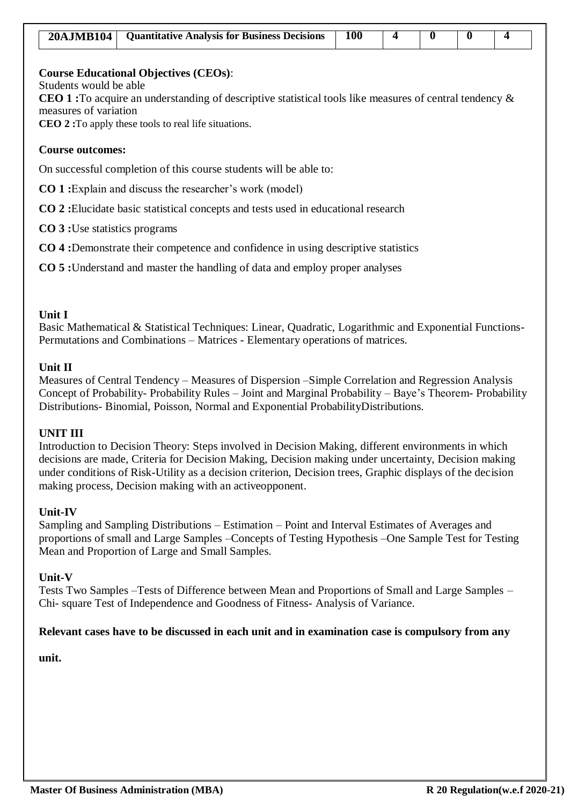| 20AJMB104   Quantitative Analysis for Business Decisions | 100 |  |  |
|----------------------------------------------------------|-----|--|--|

Students would be able

**CEO 1 :**To acquire an understanding of descriptive statistical tools like measures of central tendency & measures of variation

**CEO 2 :**To apply these tools to real life situations.

#### **Course outcomes:**

On successful completion of this course students will be able to:

**CO 1 :**Explain and discuss the researcher's work (model)

**CO 2 :**Elucidate basic statistical concepts and tests used in educational research

**CO 3 :**Use statistics programs

**CO 4 :**Demonstrate their competence and confidence in using descriptive statistics

**CO 5 :**Understand and master the handling of data and employ proper analyses

#### **Unit I**

Basic Mathematical & Statistical Techniques: Linear, Quadratic, Logarithmic and Exponential Functions-Permutations and Combinations – Matrices - Elementary operations of matrices.

#### **Unit II**

Measures of Central Tendency – Measures of Dispersion –Simple Correlation and Regression Analysis Concept of Probability- Probability Rules – Joint and Marginal Probability – Baye's Theorem- Probability Distributions- Binomial, Poisson, Normal and Exponential ProbabilityDistributions.

#### **UNIT III**

Introduction to Decision Theory: Steps involved in Decision Making, different environments in which decisions are made, Criteria for Decision Making, Decision making under uncertainty, Decision making under conditions of Risk-Utility as a decision criterion, Decision trees, Graphic displays of the decision making process, Decision making with an activeopponent.

#### **Unit-IV**

Sampling and Sampling Distributions – Estimation – Point and Interval Estimates of Averages and proportions of small and Large Samples –Concepts of Testing Hypothesis –One Sample Test for Testing Mean and Proportion of Large and Small Samples.

#### **Unit-V**

Tests Two Samples –Tests of Difference between Mean and Proportions of Small and Large Samples – Chi- square Test of Independence and Goodness of Fitness- Analysis of Variance.

#### **Relevant cases have to be discussed in each unit and in examination case is compulsory from any**

#### **unit.**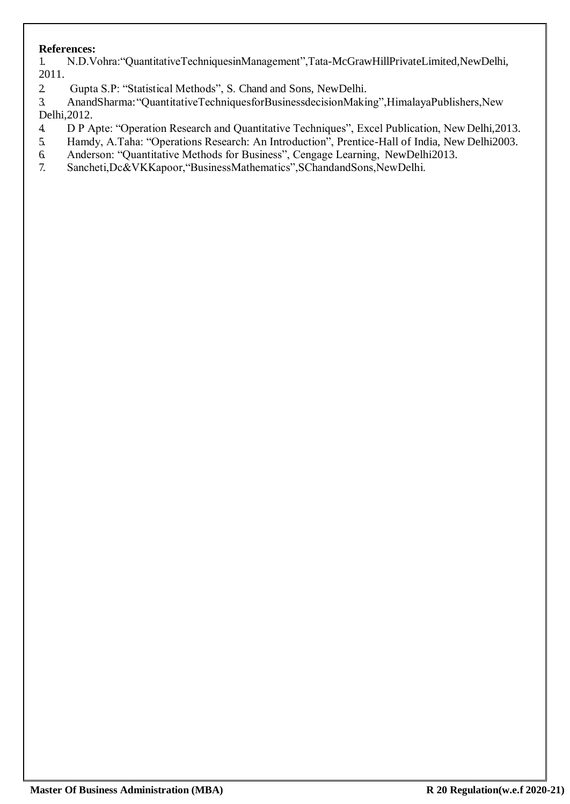1. N.D.Vohra:"QuantitativeTechniquesinManagement",Tata-McGrawHillPrivateLimited,NewDelhi, 2011.

2. Gupta S.P: "Statistical Methods", S. Chand and Sons, NewDelhi.

3. AnandSharma:"QuantitativeTechniquesforBusinessdecisionMaking",HimalayaPublishers,New Delhi,2012.

- 4. D P Apte: "Operation Research and Quantitative Techniques", Excel Publication, NewDelhi,2013.
- 5. Hamdy, A.Taha: "Operations Research: An Introduction", Prentice-Hall of India, New Delhi2003.
- 6. Anderson: "Quantitative Methods for Business", Cengage Learning, NewDelhi2013.
- 7. Sancheti,Dc&VKKapoor,"BusinessMathematics",SChandandSons,NewDelhi.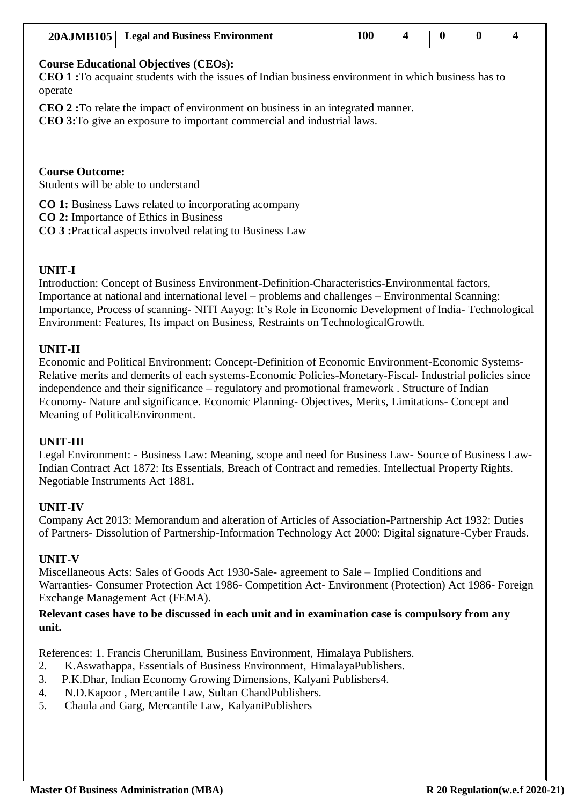| <b>20AJMB105</b> | <b>Legal and Business Environment</b> |  |  |  |
|------------------|---------------------------------------|--|--|--|

**CEO 1 :**To acquaint students with the issues of Indian business environment in which business has to operate

**CEO 2 :**To relate the impact of environment on business in an integrated manner.

**CEO 3:**To give an exposure to important commercial and industrial laws.

#### **Course Outcome:**

Students will be able to understand

**CO 1:** Business Laws related to incorporating acompany

**CO 2:** Importance of Ethics in Business

**CO 3 :**Practical aspects involved relating to Business Law

### **UNIT-I**

Introduction: Concept of Business Environment-Definition-Characteristics-Environmental factors, Importance at national and international level – problems and challenges – Environmental Scanning: Importance, Process of scanning- NITI Aayog: It's Role in Economic Development of India- Technological Environment: Features, Its impact on Business, Restraints on TechnologicalGrowth.

#### **UNIT-II**

Economic and Political Environment: Concept-Definition of Economic Environment-Economic Systems-Relative merits and demerits of each systems-Economic Policies-Monetary-Fiscal- Industrial policies since independence and their significance – regulatory and promotional framework . Structure of Indian Economy- Nature and significance. Economic Planning- Objectives, Merits, Limitations- Concept and Meaning of PoliticalEnvironment.

#### **UNIT-III**

Legal Environment: - Business Law: Meaning, scope and need for Business Law- Source of Business Law-Indian Contract Act 1872: Its Essentials, Breach of Contract and remedies. Intellectual Property Rights. Negotiable Instruments Act 1881.

#### **UNIT-IV**

Company Act 2013: Memorandum and alteration of Articles of Association-Partnership Act 1932: Duties of Partners- Dissolution of Partnership-Information Technology Act 2000: Digital signature-Cyber Frauds.

#### **UNIT-V**

Miscellaneous Acts: Sales of Goods Act 1930-Sale- agreement to Sale – Implied Conditions and Warranties- Consumer Protection Act 1986- Competition Act- Environment (Protection) Act 1986- Foreign Exchange Management Act (FEMA).

### **Relevant cases have to be discussed in each unit and in examination case is compulsory from any unit.**

References: 1. Francis Cherunillam, Business Environment, Himalaya Publishers.

- 2. K.Aswathappa, Essentials of Business Environment, HimalayaPublishers.
- 3. P.K.Dhar, Indian Economy Growing Dimensions, Kalyani Publishers4.
- 4. N.D.Kapoor , Mercantile Law, Sultan ChandPublishers.
- 5. Chaula and Garg, Mercantile Law, KalyaniPublishers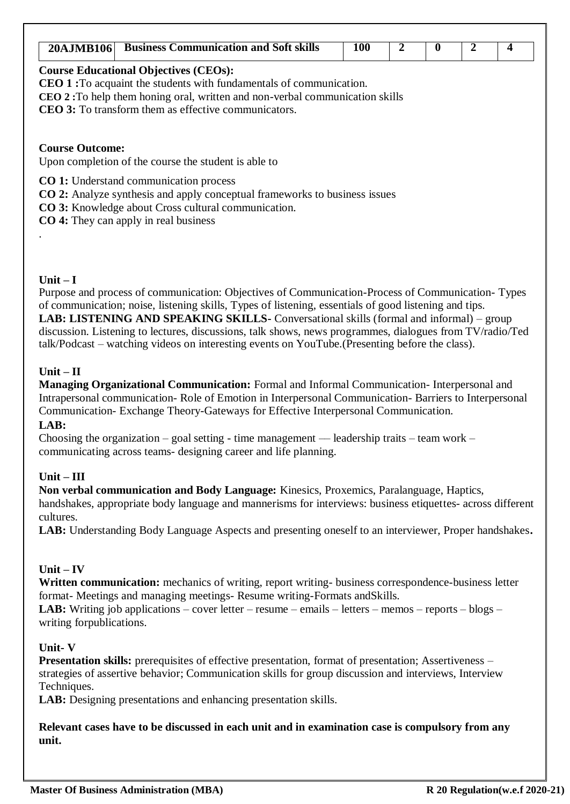| <b>Business Communication and Soft skills</b><br><b>20AJMB106</b>                                                                                                                                                                                                                 | <b>100</b> | 2 | 0 | 4 |
|-----------------------------------------------------------------------------------------------------------------------------------------------------------------------------------------------------------------------------------------------------------------------------------|------------|---|---|---|
| <b>Course Educational Objectives (CEOs):</b><br><b>CEO 1:</b> To acquaint the students with fundamentals of communication.<br><b>CEO 2</b> : To help them honing oral, written and non-verbal communication skills<br><b>CEO 3:</b> To transform them as effective communicators. |            |   |   |   |
| <b>Course Outcome:</b><br>Upon completion of the course the student is able to                                                                                                                                                                                                    |            |   |   |   |
| CO 1: Understand communication process<br><b>CO 2:</b> Analyze synthesis and apply conceptual frameworks to business issues                                                                                                                                                       |            |   |   |   |

# **Unit – I**

Purpose and process of communication: Objectives of Communication-Process of Communication- Types of communication; noise, listening skills, Types of listening, essentials of good listening and tips. **LAB: LISTENING AND SPEAKING SKILLS-** Conversational skills (formal and informal) – group discussion. Listening to lectures, discussions, talk shows, news programmes, dialogues from TV/radio/Ted talk/Podcast – watching videos on interesting events on YouTube.(Presenting before the class).

# **Unit – II**

**Managing Organizational Communication:** Formal and Informal Communication- Interpersonal and Intrapersonal communication- Role of Emotion in Interpersonal Communication- Barriers to Interpersonal Communication- Exchange Theory-Gateways for Effective Interpersonal Communication.

# **LAB:**

Choosing the organization – goal setting - time management — leadership traits – team work – communicating across teams- designing career and life planning.

# **Unit – III**

**Non verbal communication and Body Language:** Kinesics, Proxemics, Paralanguage, Haptics, handshakes, appropriate body language and mannerisms for interviews: business etiquettes- across different cultures.

**LAB:** Understanding Body Language Aspects and presenting oneself to an interviewer, Proper handshakes**.**

# **Unit – IV**

**Written communication:** mechanics of writing, report writing- business correspondence-business letter format- Meetings and managing meetings- Resume writing-Formats andSkills.

**LAB:** Writing job applications – cover letter – resume – emails – letters – memos – reports – blogs – writing forpublications.

# **Unit- V**

**Presentation skills:** prerequisites of effective presentation, format of presentation; Assertiveness – strategies of assertive behavior; Communication skills for group discussion and interviews, Interview Techniques.

LAB: Designing presentations and enhancing presentation skills.

**Relevant cases have to be discussed in each unit and in examination case is compulsory from any unit.**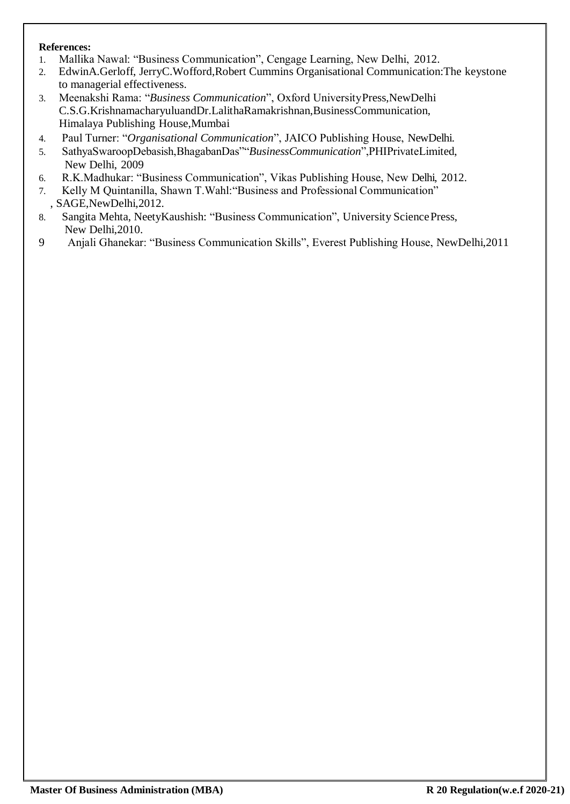- 1. Mallika Nawal: "Business Communication", Cengage Learning, New Delhi, 2012.
- 2. EdwinA.Gerloff, JerryC.Wofford,Robert Cummins Organisational Communication:The keystone to managerial effectiveness.
- 3. Meenakshi Rama: "*Business Communication*", Oxford UniversityPress,NewDelhi C.S.G.KrishnamacharyuluandDr.LalithaRamakrishnan,BusinessCommunication, Himalaya Publishing House,Mumbai
- 4. Paul Turner: "*Organisational Communication*", JAICO Publishing House, NewDelhi.
- 5. SathyaSwaroopDebasish,BhagabanDas""*BusinessCommunication*",PHIPrivateLimited, New Delhi, 2009
- 6. R.K.Madhukar: "Business Communication", Vikas Publishing House, New Delhi, 2012.
- 7. Kelly M Quintanilla, Shawn T.Wahl:"Business and Professional Communication" , SAGE,NewDelhi,2012.
- 8. Sangita Mehta, NeetyKaushish: "Business Communication", University SciencePress, New Delhi,2010.
- 9 Anjali Ghanekar: "Business Communication Skills", Everest Publishing House, NewDelhi,2011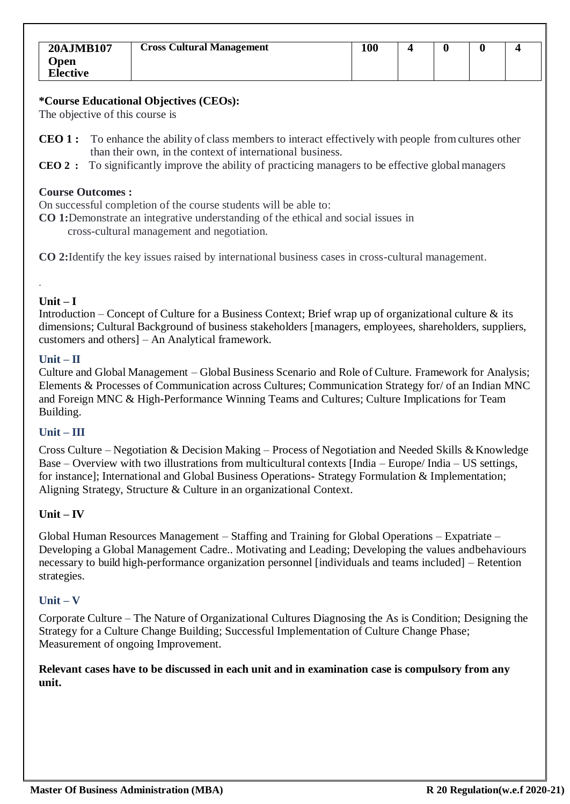The objective of this course is

- **CEO 1 :** To enhance the ability of class members to interact effectively with people fromcultures other than their own, in the context of international business.
- **CEO 2 :** To significantly improve the ability of practicing managers to be effective globalmanagers

#### **Course Outcomes :**

On successful completion of the course students will be able to:

**CO 1:**Demonstrate an integrative understanding of the ethical and social issues in cross-cultural management and negotiation.

**CO 2:**Identify the key issues raised by international business cases in cross-cultural management.

# **Unit – I**

.

Introduction – Concept of Culture for a Business Context; Brief wrap up of organizational culture  $\&$  its dimensions; Cultural Background of business stakeholders [managers, employees, shareholders, suppliers, customers and others] – An Analytical framework.

#### **Unit – II**

Culture and Global Management – Global Business Scenario and Role of Culture. Framework for Analysis; Elements & Processes of Communication across Cultures; Communication Strategy for/ of an Indian MNC and Foreign MNC & High-Performance Winning Teams and Cultures; Culture Implications for Team Building.

#### **Unit – III**

Cross Culture – Negotiation & Decision Making – Process of Negotiation and Needed Skills & Knowledge Base – Overview with two illustrations from multicultural contexts [India – Europe/ India – US settings, for instance]; International and Global Business Operations- Strategy Formulation & Implementation; Aligning Strategy, Structure & Culture in an organizational Context.

#### **Unit – IV**

Global Human Resources Management – Staffing and Training for Global Operations – Expatriate – Developing a Global Management Cadre.. Motivating and Leading; Developing the values andbehaviours necessary to build high-performance organization personnel [individuals and teams included] – Retention strategies.

#### **Unit – V**

Corporate Culture – The Nature of Organizational Cultures Diagnosing the As is Condition; Designing the Strategy for a Culture Change Building; Successful Implementation of Culture Change Phase; Measurement of ongoing Improvement.

**Relevant cases have to be discussed in each unit and in examination case is compulsory from any unit.**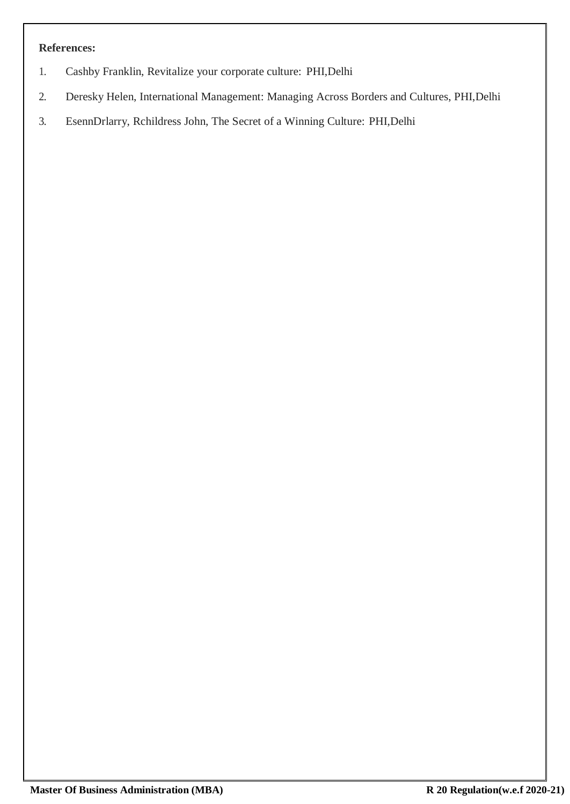- 1. Cashby Franklin, Revitalize your corporate culture: PHI,Delhi
- 2. Deresky Helen, International Management: Managing Across Borders and Cultures, PHI,Delhi
- 3. EsennDrlarry, Rchildress John, The Secret of a Winning Culture: PHI,Delhi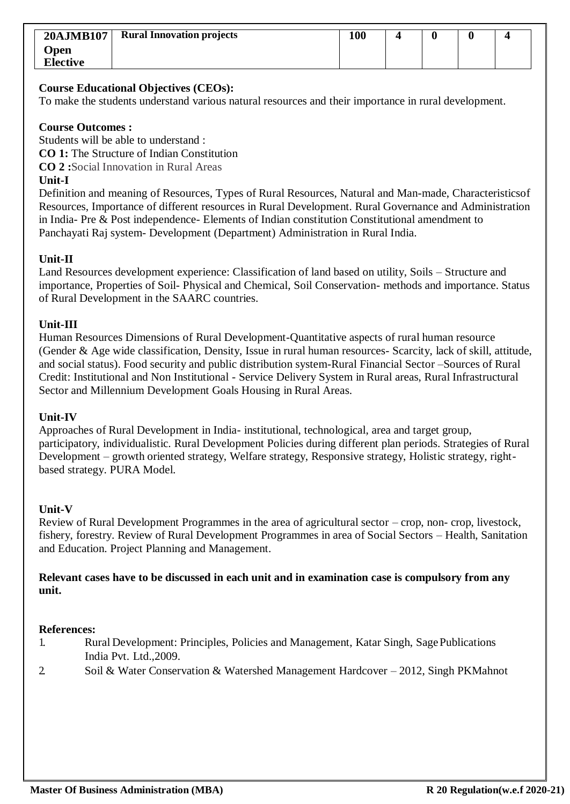| <b>20AJMB107</b> | <b>Rural Innovation projects</b> | 100 |  |  |
|------------------|----------------------------------|-----|--|--|
| Open             |                                  |     |  |  |
| <b>Elective</b>  |                                  |     |  |  |

To make the students understand various natural resources and their importance in rural development.

#### **Course Outcomes :**

Students will be able to understand :

**CO 1:** The Structure of Indian Constitution

**CO 2 :**Social Innovation in Rural Areas

### **Unit-I**

Definition and meaning of Resources, Types of Rural Resources, Natural and Man-made, Characteristicsof Resources, Importance of different resources in Rural Development. Rural Governance and Administration in India- Pre & Post independence- Elements of Indian constitution Constitutional amendment to Panchayati Raj system- Development (Department) Administration in Rural India.

# **Unit-II**

Land Resources development experience: Classification of land based on utility, Soils – Structure and importance, Properties of Soil- Physical and Chemical, Soil Conservation- methods and importance. Status of Rural Development in the SAARC countries.

### **Unit-III**

Human Resources Dimensions of Rural Development-Quantitative aspects of rural human resource (Gender & Age wide classification, Density, Issue in rural human resources- Scarcity, lack of skill, attitude, and social status). Food security and public distribution system-Rural Financial Sector –Sources of Rural Credit: Institutional and Non Institutional - Service Delivery System in Rural areas, Rural Infrastructural Sector and Millennium Development Goals Housing in Rural Areas.

#### **Unit-IV**

Approaches of Rural Development in India- institutional, technological, area and target group, participatory, individualistic. Rural Development Policies during different plan periods. Strategies of Rural Development – growth oriented strategy, Welfare strategy, Responsive strategy, Holistic strategy, rightbased strategy. PURA Model.

# **Unit-V**

Review of Rural Development Programmes in the area of agricultural sector – crop, non- crop, livestock, fishery, forestry. Review of Rural Development Programmes in area of Social Sectors – Health, Sanitation and Education. Project Planning and Management.

### **Relevant cases have to be discussed in each unit and in examination case is compulsory from any unit.**

#### **References:**

- 1. Rural Development: Principles, Policies and Management, Katar Singh, SagePublications India Pvt. Ltd.,2009.
- 2. Soil & Water Conservation & Watershed Management Hardcover 2012, Singh PKMahnot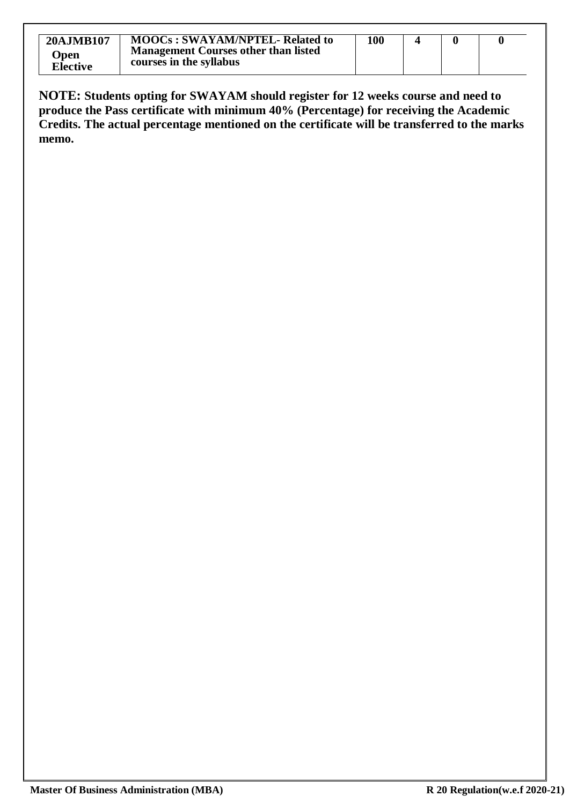| <b>20AJMB107</b><br>Open<br><b>Elective</b> | <b>MOOCs: SWAYAM/NPTEL- Related to</b><br><b>Management Courses other than listed</b><br>courses in the syllabus | 100 |  |  |
|---------------------------------------------|------------------------------------------------------------------------------------------------------------------|-----|--|--|

**NOTE: Students opting for SWAYAM should register for 12 weeks course and need to produce the Pass certificate with minimum 40% (Percentage) for receiving the Academic Credits. The actual percentage mentioned on the certificate will be transferred to the marks memo.**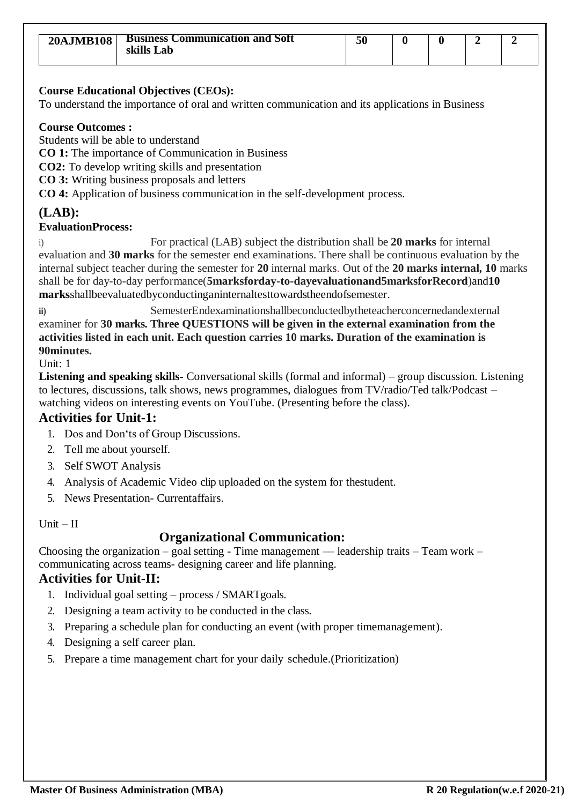| <b>20AJMB108</b> | <b>Business Communication and Soft</b><br>skills Lab | 50 |  |  |
|------------------|------------------------------------------------------|----|--|--|
|                  |                                                      |    |  |  |

To understand the importance of oral and written communication and its applications in Business

### **Course Outcomes :**

Students will be able to understand

**CO 1:** The importance of Communication in Business

**CO2:** To develop writing skills and presentation

**CO 3:** Writing business proposals and letters

**CO 4:** Application of business communication in the self-development process.

# **(LAB):**

**EvaluationProcess:**

i) For practical (LAB) subject the distribution shall be **20 marks** for internal evaluation and **30 marks** for the semester end examinations. There shall be continuous evaluation by the internal subject teacher during the semester for **20** internal marks. Out of the **20 marks internal, 10** marks shall be for day-to-day performance(**5marksforday-to-dayevaluationand5marksforRecord**)and**10 marks**shallbeevaluatedbyconductinganinternaltesttowardstheendofsemester.

**ii)** SemesterEndexaminationshallbeconductedbytheteacherconcernedandexternal examiner for **30 marks. Three QUESTIONS will be given in the external examination from the activities listed in each unit. Each question carries 10 marks. Duration of the examination is 90minutes.**

Unit: 1

**Listening and speaking skills-** Conversational skills (formal and informal) – group discussion. Listening to lectures, discussions, talk shows, news programmes, dialogues from TV/radio/Ted talk/Podcast – watching videos on interesting events on YouTube. (Presenting before the class).

# **Activities for Unit-1:**

- 1. Dos and Don'ts of Group Discussions.
- 2. Tell me about yourself.
- 3. Self SWOT Analysis
- 4. Analysis of Academic Video clip uploaded on the system for thestudent.
- 5. News Presentation- Currentaffairs.

Unit – II

# **Organizational Communication:**

Choosing the organization – goal setting - Time management — leadership traits – Team work – communicating across teams- designing career and life planning.

# **Activities for Unit-II:**

- 1. Individual goal setting process / SMARTgoals.
- 2. Designing a team activity to be conducted in the class.
- 3. Preparing a schedule plan for conducting an event (with proper timemanagement).
- 4. Designing a self career plan.
- 5. Prepare a time management chart for your daily schedule.(Prioritization)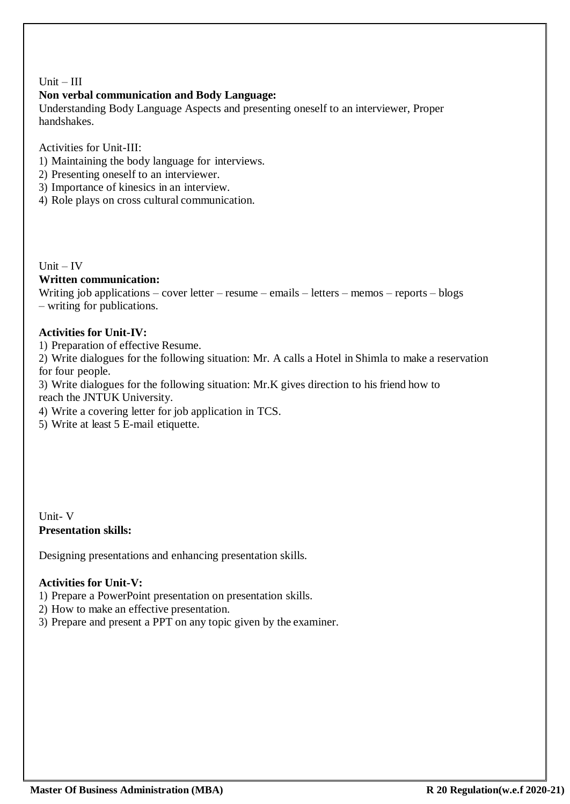### Unit – III

# **Non verbal communication and Body Language:**

Understanding Body Language Aspects and presenting oneself to an interviewer, Proper handshakes.

Activities for Unit-III:

- 1) Maintaining the body language for interviews.
- 2) Presenting oneself to an interviewer.
- 3) Importance of kinesics in an interview.
- 4) Role plays on cross cultural communication.

Unit – IV

### **Written communication:**

Writing job applications – cover letter – resume – emails – letters – memos – reports – blogs – writing for publications.

### **Activities for Unit-IV:**

1) Preparation of effective Resume.

2) Write dialogues for the following situation: Mr. A calls a Hotel in Shimla to make a reservation for four people.

3) Write dialogues for the following situation: Mr.K gives direction to his friend how to reach the JNTUK University.

4) Write a covering letter for job application in TCS.

5) Write at least 5 E-mail etiquette.

Unit- V **Presentation skills:**

Designing presentations and enhancing presentation skills.

# **Activities for Unit-V:**

1) Prepare a PowerPoint presentation on presentation skills.

- 2) How to make an effective presentation.
- 3) Prepare and present a PPT on any topic given by the examiner.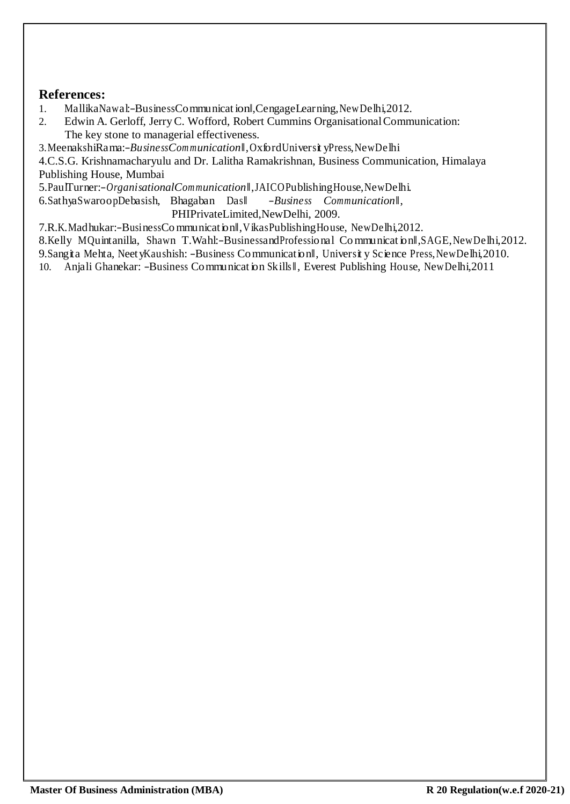- 1. MallikaNawal:―BusinessCommunicat ion‖,CengageLearning,NewDelhi,2012.
- 2. Edwin A. Gerloff, JerryC. Wofford, Robert Cummins OrganisationalCommunication: The key stone to managerial effectiveness.

3.MeenakshiRama:―*BusinessCom munication*‖,OxfordUniversit yPress,NewDelhi

4.C.S.G. Krishnamacharyulu and Dr. Lalitha Ramakrishnan, Business Communication, Himalaya Publishing House, Mumbai

5.PaulTurner:-OrganisationalCommunication<sup>|</sup>,JAICOPublishingHouse,NewDelhi.<br>6.SathyaSwaroopDebasish, Bhagaban Das| -Business Communication||,

6.SathyaSwaroopDebasish, Bhagaban Das‖ ―*Business Communication*‖,

PHIPrivateLimited,NewDelhi, 2009.

7.R.K.Madhukar:―BusinessCommunication‖,VikasPublishingHouse, NewDelhi,2012.

8.Kelly MQuintanilla, Shawn T.Wahl:-BusinessandProfessional Communication S.AGE, New Delhi, 2012.

9. Sangita Mehta, NeetyKaushish: -Business Communicationll, University Science Press, NewDelhi, 2010.

10. Anjali Ghanekar: -Business Communicat ion Skills II, Everest Publishing House, NewDelhi,2011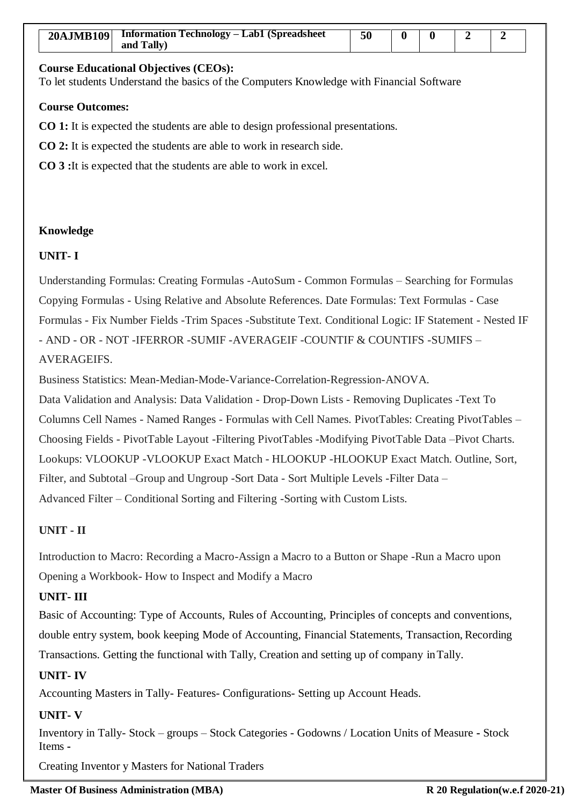To let students Understand the basics of the Computers Knowledge with Financial Software

### **Course Outcomes:**

**CO 1:** It is expected the students are able to design professional presentations.

**CO 2:** It is expected the students are able to work in research side.

**CO 3 :**It is expected that the students are able to work in excel.

### **Knowledge**

# **UNIT- I**

Understanding Formulas: Creating Formulas -AutoSum - Common Formulas – Searching for Formulas Copying Formulas - Using Relative and Absolute References. Date Formulas: Text Formulas - Case Formulas - Fix Number Fields -Trim Spaces -Substitute Text. Conditional Logic: IF Statement - Nested IF - AND - OR - NOT -IFERROR -SUMIF -AVERAGEIF -COUNTIF & COUNTIFS -SUMIFS – AVERAGEIFS.

Business Statistics: Mean-Median-Mode-Variance-Correlation-Regression-ANOVA.

Data Validation and Analysis: Data Validation - Drop-Down Lists - Removing Duplicates -Text To Columns Cell Names - Named Ranges - Formulas with Cell Names. PivotTables: Creating PivotTables – Choosing Fields - PivotTable Layout -Filtering PivotTables -Modifying PivotTable Data –Pivot Charts. Lookups: VLOOKUP -VLOOKUP Exact Match - HLOOKUP -HLOOKUP Exact Match. Outline, Sort, Filter, and Subtotal –Group and Ungroup -Sort Data - Sort Multiple Levels -Filter Data – Advanced Filter – Conditional Sorting and Filtering -Sorting with Custom Lists.

# **UNIT - II**

Introduction to Macro: Recording a Macro-Assign a Macro to a Button or Shape -Run a Macro upon Opening a Workbook- How to Inspect and Modify a Macro

# **UNIT- III**

Basic of Accounting: Type of Accounts, Rules of Accounting, Principles of concepts and conventions, double entry system, book keeping Mode of Accounting, Financial Statements, Transaction, Recording Transactions. Getting the functional with Tally, Creation and setting up of company inTally.

# **UNIT- IV**

Accounting Masters in Tally- Features- Configurations- Setting up Account Heads.

# **UNIT- V**

Inventory in Tally- Stock – groups – Stock Categories - Godowns / Location Units of Measure **-** Stock Items **-**

Creating Inventor y Masters for National Traders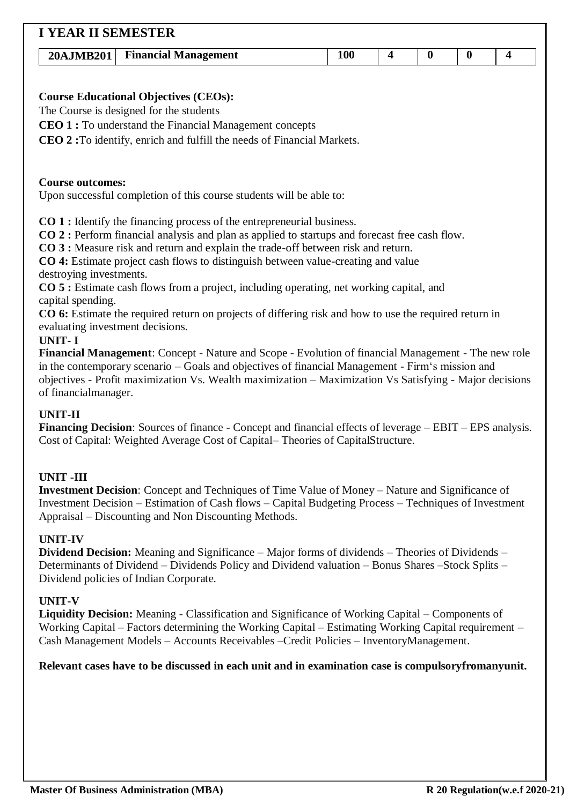| <b>I YEAR II SEMESTER</b>        |                                                                                                                                                                                                         |     |                         |          |                  |                  |  |  |  |
|----------------------------------|---------------------------------------------------------------------------------------------------------------------------------------------------------------------------------------------------------|-----|-------------------------|----------|------------------|------------------|--|--|--|
| 20AJMB201                        | <b>Financial Management</b>                                                                                                                                                                             | 100 | $\overline{\mathbf{4}}$ | $\bf{0}$ | $\boldsymbol{0}$ | $\boldsymbol{4}$ |  |  |  |
|                                  |                                                                                                                                                                                                         |     |                         |          |                  |                  |  |  |  |
|                                  | <b>Course Educational Objectives (CEOs):</b>                                                                                                                                                            |     |                         |          |                  |                  |  |  |  |
|                                  | The Course is designed for the students                                                                                                                                                                 |     |                         |          |                  |                  |  |  |  |
|                                  | <b>CEO 1 :</b> To understand the Financial Management concepts                                                                                                                                          |     |                         |          |                  |                  |  |  |  |
|                                  | CEO 2: To identify, enrich and fulfill the needs of Financial Markets.                                                                                                                                  |     |                         |          |                  |                  |  |  |  |
|                                  |                                                                                                                                                                                                         |     |                         |          |                  |                  |  |  |  |
|                                  |                                                                                                                                                                                                         |     |                         |          |                  |                  |  |  |  |
| <b>Course outcomes:</b>          |                                                                                                                                                                                                         |     |                         |          |                  |                  |  |  |  |
|                                  | Upon successful completion of this course students will be able to:                                                                                                                                     |     |                         |          |                  |                  |  |  |  |
|                                  | <b>CO 1 : Identify the financing process of the entrepreneurial business.</b>                                                                                                                           |     |                         |          |                  |                  |  |  |  |
|                                  | CO 2: Perform financial analysis and plan as applied to startups and forecast free cash flow.                                                                                                           |     |                         |          |                  |                  |  |  |  |
|                                  | CO 3 : Measure risk and return and explain the trade-off between risk and return.                                                                                                                       |     |                         |          |                  |                  |  |  |  |
|                                  | CO 4: Estimate project cash flows to distinguish between value-creating and value                                                                                                                       |     |                         |          |                  |                  |  |  |  |
| destroying investments.          | CO 5 : Estimate cash flows from a project, including operating, net working capital, and                                                                                                                |     |                         |          |                  |                  |  |  |  |
| capital spending.                |                                                                                                                                                                                                         |     |                         |          |                  |                  |  |  |  |
|                                  | CO 6: Estimate the required return on projects of differing risk and how to use the required return in                                                                                                  |     |                         |          |                  |                  |  |  |  |
| evaluating investment decisions. |                                                                                                                                                                                                         |     |                         |          |                  |                  |  |  |  |
| <b>UNIT-I</b>                    |                                                                                                                                                                                                         |     |                         |          |                  |                  |  |  |  |
|                                  | Financial Management: Concept - Nature and Scope - Evolution of financial Management - The new role<br>in the contemporary scenario – Goals and objectives of financial Management - Firm's mission and |     |                         |          |                  |                  |  |  |  |
|                                  | objectives - Profit maximization Vs. Wealth maximization - Maximization Vs Satisfying - Major decisions                                                                                                 |     |                         |          |                  |                  |  |  |  |
| of financialmanager.             |                                                                                                                                                                                                         |     |                         |          |                  |                  |  |  |  |
| <b>UNIT-II</b>                   |                                                                                                                                                                                                         |     |                         |          |                  |                  |  |  |  |
|                                  | <b>Financing Decision:</b> Sources of finance - Concept and financial effects of leverage – EBIT – EPS analysis.                                                                                        |     |                         |          |                  |                  |  |  |  |
|                                  | Cost of Capital: Weighted Average Cost of Capital–Theories of CapitalStructure.                                                                                                                         |     |                         |          |                  |                  |  |  |  |

# **UNIT -III**

**Investment Decision**: Concept and Techniques of Time Value of Money – Nature and Significance of Investment Decision – Estimation of Cash flows – Capital Budgeting Process – Techniques of Investment Appraisal – Discounting and Non Discounting Methods.

# **UNIT-IV**

**Dividend Decision:** Meaning and Significance – Major forms of dividends – Theories of Dividends – Determinants of Dividend – Dividends Policy and Dividend valuation – Bonus Shares –Stock Splits – Dividend policies of Indian Corporate.

# **UNIT-V**

**Liquidity Decision:** Meaning - Classification and Significance of Working Capital – Components of Working Capital – Factors determining the Working Capital – Estimating Working Capital requirement – Cash Management Models – Accounts Receivables –Credit Policies – InventoryManagement.

# **Relevant cases have to be discussed in each unit and in examination case is compulsoryfromanyunit.**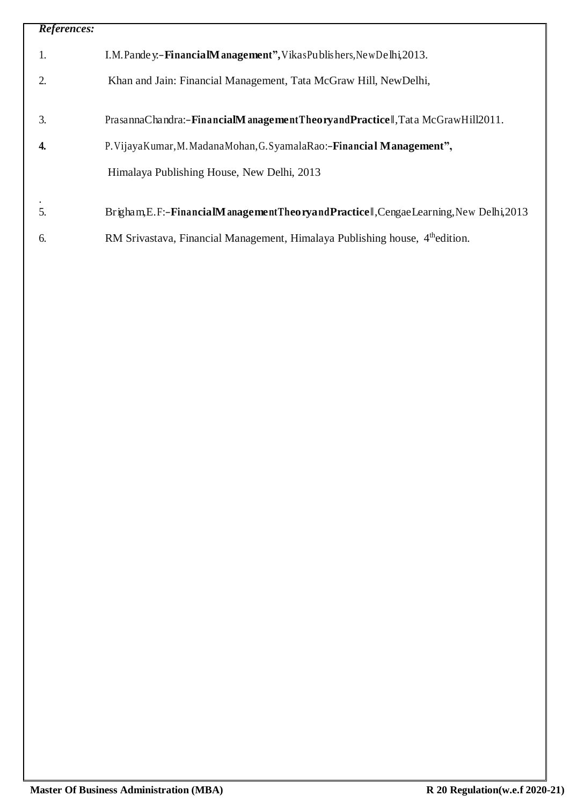| References: |                                                                                          |
|-------------|------------------------------------------------------------------------------------------|
| 1.          | I.M. Pande y. - Financial Management", Vikas Publishers, New Delhi, 2013.                |
| 2.          | Khan and Jain: Financial Management, Tata McGraw Hill, NewDelhi,                         |
| 3.          | PrasannaChandra:-FinancialManagementTheoryandPracticel,TataMcGrawHill2011.               |
| 4.          | P. Vijaya Kumar, M. Madana Mohan, G. Syamala Rao:-Financial Management",                 |
|             | Himalaya Publishing House, New Delhi, 2013                                               |
| 5.          | Brigham, E.F:-FinancialManagementTheoryandPracticell, CengaeLearning, New Delhi, 2013    |
| 6.          | RM Srivastava, Financial Management, Himalaya Publishing house, 4 <sup>th</sup> edition. |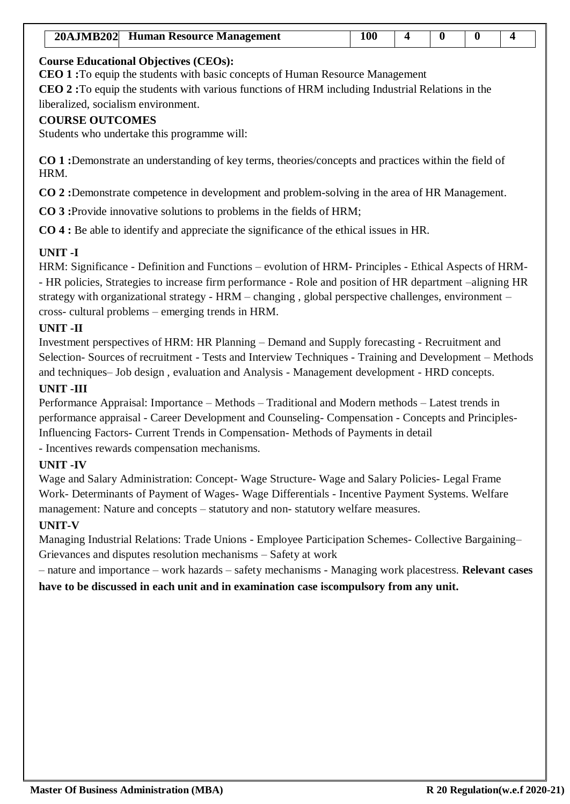| 20AJMB202 Human Resource Management | 100 |  |  |
|-------------------------------------|-----|--|--|

**CEO 1 :**To equip the students with basic concepts of Human Resource Management **CEO 2 :**To equip the students with various functions of HRM including Industrial Relations in the liberalized, socialism environment.

### **COURSE OUTCOMES**

Students who undertake this programme will:

**CO 1 :**Demonstrate an understanding of key terms, theories/concepts and practices within the field of HRM.

**CO 2 :**Demonstrate competence in development and problem-solving in the area of HR Management.

**CO 3 :**Provide innovative solutions to problems in the fields of HRM;

**CO 4 :** Be able to identify and appreciate the significance of the ethical issues in HR.

# **UNIT -I**

HRM: Significance - Definition and Functions – evolution of HRM- Principles - Ethical Aspects of HRM- - HR policies, Strategies to increase firm performance - Role and position of HR department –aligning HR strategy with organizational strategy - HRM – changing , global perspective challenges, environment – cross- cultural problems – emerging trends in HRM.

# **UNIT -II**

Investment perspectives of HRM: HR Planning – Demand and Supply forecasting - Recruitment and Selection- Sources of recruitment - Tests and Interview Techniques - Training and Development – Methods and techniques– Job design , evaluation and Analysis - Management development - HRD concepts.

### **UNIT -III**

Performance Appraisal: Importance – Methods – Traditional and Modern methods – Latest trends in performance appraisal - Career Development and Counseling- Compensation - Concepts and Principles-Influencing Factors- Current Trends in Compensation- Methods of Payments in detail - Incentives rewards compensation mechanisms.

# **UNIT -IV**

Wage and Salary Administration: Concept- Wage Structure- Wage and Salary Policies- Legal Frame Work- Determinants of Payment of Wages- Wage Differentials - Incentive Payment Systems. Welfare management: Nature and concepts – statutory and non- statutory welfare measures.

# **UNIT-V**

Managing Industrial Relations: Trade Unions - Employee Participation Schemes- Collective Bargaining– Grievances and disputes resolution mechanisms – Safety at work

– nature and importance – work hazards – safety mechanisms - Managing work placestress. **Relevant cases have to be discussed in each unit and in examination case iscompulsory from any unit.**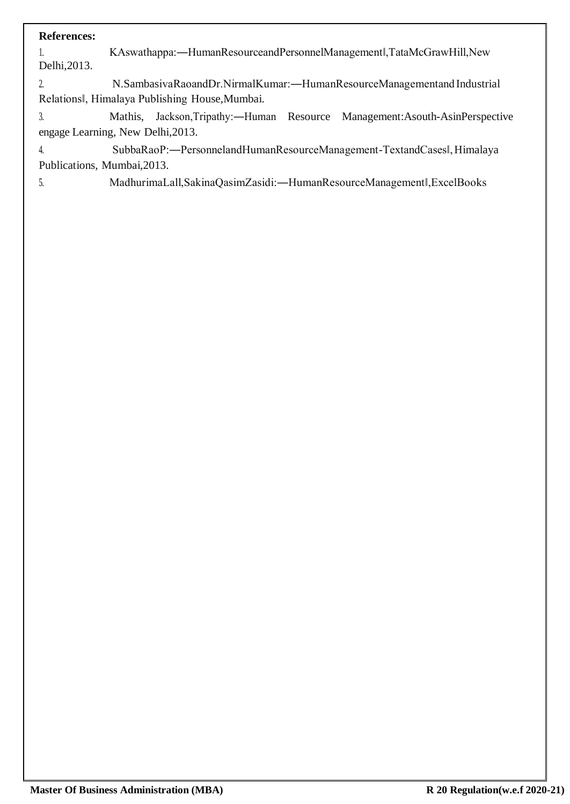1. KAswathappa:―HumanResourceandPersonnelManagement‖,TataMcGrawHill,New Delhi,2013.

2. N.SambasivaRaoandDr.NirmalKumar:―HumanResourceManagementand Industrial Relations‖, Himalaya Publishing House,Mumbai.

3. Mathis, Jackson,Tripathy:―Human Resource Management:Asouth-AsinPerspective engage Learning, New Delhi,2013.

4. SubbaRaoP:―PersonnelandHumanResourceManagement-TextandCases‖,Himalaya Publications, Mumbai,2013.

5. MadhurimaLall,SakinaQasimZasidi:―HumanResourceManagement‖,ExcelBooks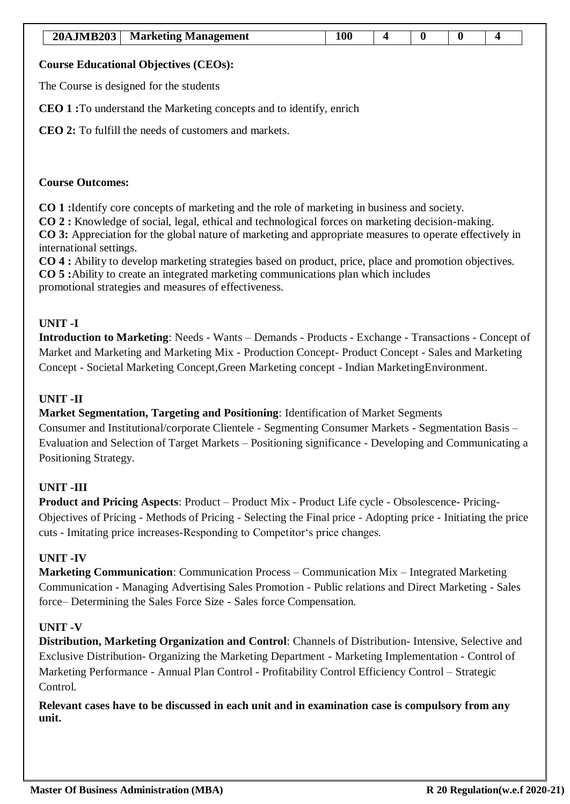| <b>20AJMB203</b> | <b>Marketing Management</b> |  |  |  |
|------------------|-----------------------------|--|--|--|

The Course is designed for the students

**CEO 1 :**To understand the Marketing concepts and to identify, enrich

**CEO 2:** To fulfill the needs of customers and markets.

#### **Course Outcomes:**

**CO 1 :**Identify core concepts of marketing and the role of marketing in business and society.

**CO 2 :** Knowledge of social, legal, ethical and technological forces on marketing decision-making.

**CO 3:** Appreciation for the global nature of marketing and appropriate measures to operate effectively in international settings.

**CO 4 :** Ability to develop marketing strategies based on product, price, place and promotion objectives. **CO 5 :**Ability to create an integrated marketing communications plan which includes promotional strategies and measures of effectiveness.

# **UNIT -I**

**Introduction to Marketing**: Needs - Wants – Demands - Products - Exchange - Transactions - Concept of Market and Marketing and Marketing Mix - Production Concept- Product Concept - Sales and Marketing Concept - Societal Marketing Concept,Green Marketing concept - Indian MarketingEnvironment.

# **UNIT -II**

**Market Segmentation, Targeting and Positioning**: Identification of Market Segments

Consumer and Institutional/corporate Clientele - Segmenting Consumer Markets - Segmentation Basis – Evaluation and Selection of Target Markets – Positioning significance - Developing and Communicating a Positioning Strategy.

# **UNIT -III**

**Product and Pricing Aspects**: Product – Product Mix - Product Life cycle - Obsolescence- Pricing-Objectives of Pricing - Methods of Pricing - Selecting the Final price - Adopting price - Initiating the price cuts - Imitating price increases-Responding to Competitor's price changes.

# **UNIT -IV**

**Marketing Communication**: Communication Process – Communication Mix – Integrated Marketing Communication - Managing Advertising Sales Promotion - Public relations and Direct Marketing - Sales force– Determining the Sales Force Size - Sales force Compensation.

# **UNIT -V**

**Distribution, Marketing Organization and Control**: Channels of Distribution- Intensive, Selective and Exclusive Distribution- Organizing the Marketing Department - Marketing Implementation - Control of Marketing Performance - Annual Plan Control - Profitability Control Efficiency Control – Strategic Control.

**Relevant cases have to be discussed in each unit and in examination case is compulsory from any unit.**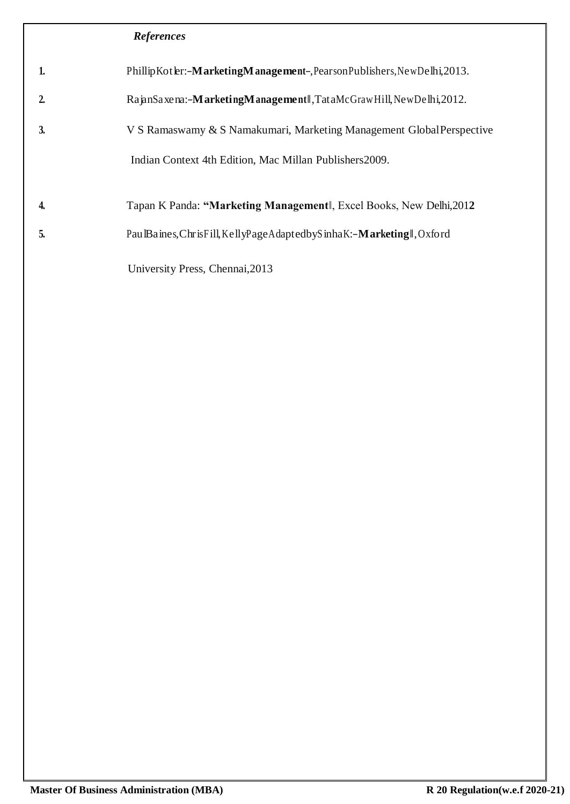| 1.             | PhillipKotler:- <b>MarketingManagement-</b> , Pearson Publishers, New Delhi, 2013. |
|----------------|------------------------------------------------------------------------------------|
| $\overline{2}$ | RapnSaxena:-MarketingManagementl,TataMcGrawHill,NewDelhi,2012.                     |
| 3.             | V S Ramaswamy & S Namakumari, Marketing Management Global Perspective              |
|                | Indian Context 4th Edition, Mac Millan Publishers2009.                             |
| 4.             | Tapan K Panda: "Marketing Management, Excel Books, New Delhi, 2012                 |
| 5.             | Pau Baines, ChrisFill, KellyPage Adapted by Sinha K: - Marketing I, Oxford         |
|                | University Press, Chennai, 2013                                                    |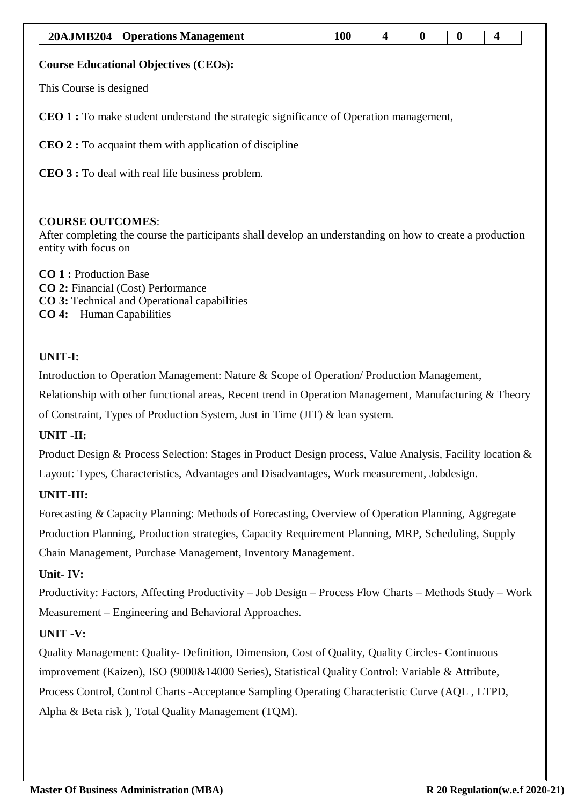| <b>20AJMB204</b>                                                                              | <b>Operations Management</b> | <b>100</b> | 4 | $\mathbf 0$ | $\bf{0}$ | 4 |  |  |  |
|-----------------------------------------------------------------------------------------------|------------------------------|------------|---|-------------|----------|---|--|--|--|
| <b>Course Educational Objectives (CEOs):</b>                                                  |                              |            |   |             |          |   |  |  |  |
| This Course is designed                                                                       |                              |            |   |             |          |   |  |  |  |
| <b>CEO 1</b> : To make student understand the strategic significance of Operation management, |                              |            |   |             |          |   |  |  |  |
| <b>CEO 2</b> : To acquaint them with application of discipline                                |                              |            |   |             |          |   |  |  |  |
| <b>CEO 3 :</b> To deal with real life business problem.                                       |                              |            |   |             |          |   |  |  |  |
|                                                                                               |                              |            |   |             |          |   |  |  |  |

# **COURSE OUTCOMES**:

After completing the course the participants shall develop an understanding on how to create a production entity with focus on

**CO 1 :** Production Base **CO 2:** Financial (Cost) Performance **CO 3:** Technical and Operational capabilities **CO 4:** Human Capabilities

# **UNIT-I:**

Introduction to Operation Management: Nature & Scope of Operation/ Production Management,

Relationship with other functional areas, Recent trend in Operation Management, Manufacturing & Theory of Constraint, Types of Production System, Just in Time (JIT) & lean system.

# **UNIT -II:**

Product Design & Process Selection: Stages in Product Design process, Value Analysis, Facility location & Layout: Types, Characteristics, Advantages and Disadvantages, Work measurement, Jobdesign.

# **UNIT-III:**

Forecasting & Capacity Planning: Methods of Forecasting, Overview of Operation Planning, Aggregate Production Planning, Production strategies, Capacity Requirement Planning, MRP, Scheduling, Supply Chain Management, Purchase Management, Inventory Management.

# **Unit- IV:**

Productivity: Factors, Affecting Productivity – Job Design – Process Flow Charts – Methods Study – Work Measurement – Engineering and Behavioral Approaches.

# **UNIT -V:**

Quality Management: Quality- Definition, Dimension, Cost of Quality, Quality Circles- Continuous improvement (Kaizen), ISO (9000&14000 Series), Statistical Quality Control: Variable & Attribute, Process Control, Control Charts -Acceptance Sampling Operating Characteristic Curve (AQL , LTPD, Alpha & Beta risk ), Total Quality Management (TQM).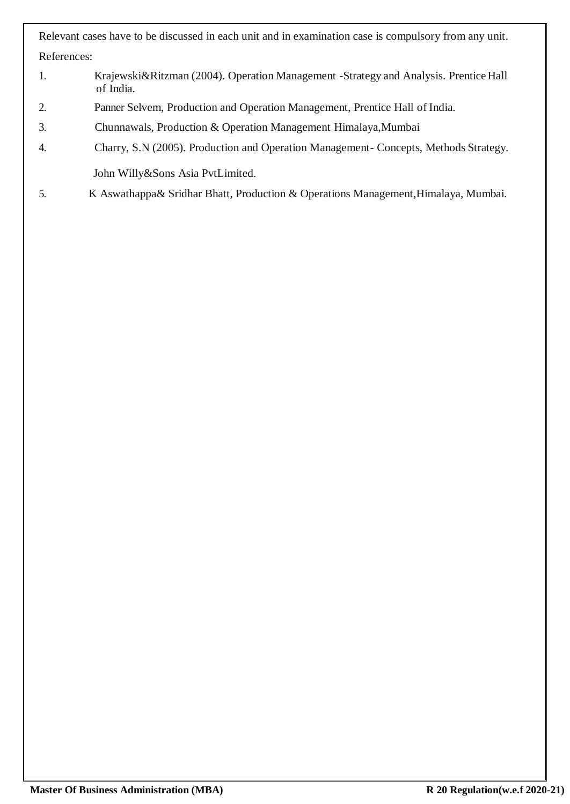Relevant cases have to be discussed in each unit and in examination case is compulsory from any unit. References:

- 1. Krajewski&Ritzman (2004). Operation Management -Strategy and Analysis. PrenticeHall of India.
- 2. Panner Selvem, Production and Operation Management, Prentice Hall of India.
- 3. Chunnawals, Production & Operation Management Himalaya,Mumbai
- 4. Charry, S.N (2005). Production and Operation Management- Concepts, Methods Strategy. John Willy&Sons Asia PvtLimited.
- 5. K Aswathappa& Sridhar Bhatt, Production & Operations Management,Himalaya, Mumbai.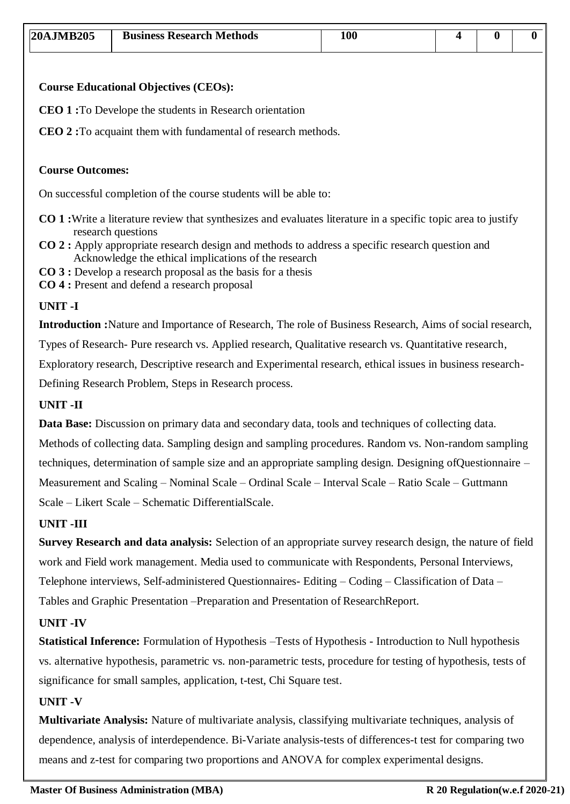| $ 20A$ JMB $205$ | <b>Business Research Methods</b> | 100 |  |  |
|------------------|----------------------------------|-----|--|--|

**CEO 1 :**To Develope the students in Research orientation

**CEO 2 :**To acquaint them with fundamental of research methods.

#### **Course Outcomes:**

On successful completion of the course students will be able to:

- **CO 1 :**Write a literature review that synthesizes and evaluates literature in a specific topic area to justify research questions
- **CO 2 :** Apply appropriate research design and methods to address a specific research question and Acknowledge the ethical implications of the research
- **CO 3 :** Develop a research proposal as the basis for a thesis
- **CO 4 :** Present and defend a research proposal

#### **UNIT -I**

**Introduction :**Nature and Importance of Research, The role of Business Research, Aims of social research, Types of Research- Pure research vs. Applied research, Qualitative research vs. Quantitative research, Exploratory research, Descriptive research and Experimental research, ethical issues in business research-Defining Research Problem, Steps in Research process.

#### **UNIT -II**

**Data Base:** Discussion on primary data and secondary data, tools and techniques of collecting data. Methods of collecting data. Sampling design and sampling procedures. Random vs. Non-random sampling techniques, determination of sample size and an appropriate sampling design. Designing ofQuestionnaire – Measurement and Scaling – Nominal Scale – Ordinal Scale – Interval Scale – Ratio Scale – Guttmann Scale – Likert Scale – Schematic DifferentialScale.

#### **UNIT -III**

**Survey Research and data analysis:** Selection of an appropriate survey research design, the nature of field work and Field work management. Media used to communicate with Respondents, Personal Interviews, Telephone interviews, Self-administered Questionnaires- Editing – Coding – Classification of Data – Tables and Graphic Presentation –Preparation and Presentation of ResearchReport.

### **UNIT -IV**

**Statistical Inference:** Formulation of Hypothesis –Tests of Hypothesis - Introduction to Null hypothesis vs. alternative hypothesis, parametric vs. non-parametric tests, procedure for testing of hypothesis, tests of significance for small samples, application, t-test, Chi Square test.

#### **UNIT -V**

**Multivariate Analysis:** Nature of multivariate analysis, classifying multivariate techniques, analysis of dependence, analysis of interdependence. Bi-Variate analysis-tests of differences-t test for comparing two means and z-test for comparing two proportions and ANOVA for complex experimental designs.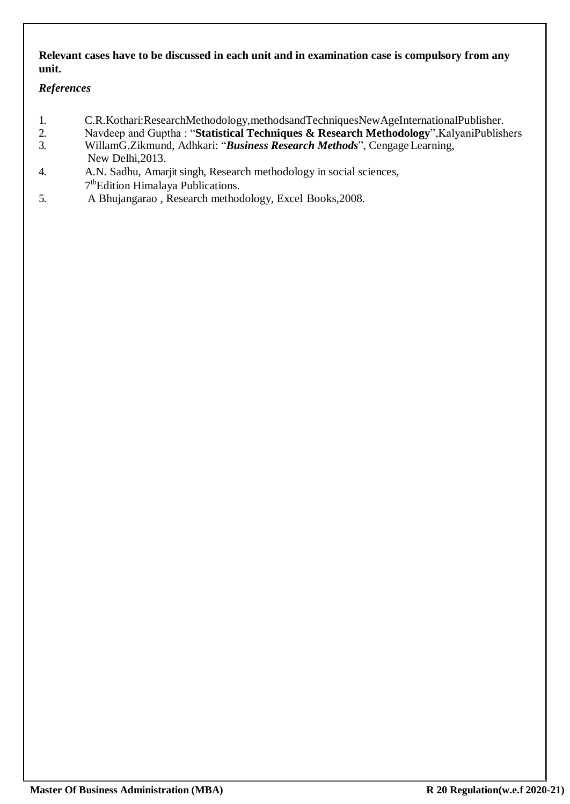# **Relevant cases have to be discussed in each unit and in examination case is compulsory from any unit.**

# *References*

- 1. C.R.Kothari:ResearchMethodology,methodsandTechniquesNewAgeInternationalPublisher.<br>2. Navdeep and Guptha: "Statistical Techniques & Research Methodology".KalvaniPublish
- 2. Navdeep and Guptha : "**Statistical Techniques & Research Methodology**",KalyaniPublishers 3. WillamG.Zikmund, Adhkari: "*Business Research Methods*", CengageLearning,
- New Delhi,2013.
- 4. A.N. Sadhu, Amarjit singh, Research methodology in social sciences, 7<sup>th</sup>Edition Himalaya Publications.
- 5. A Bhujangarao , Research methodology, Excel Books,2008.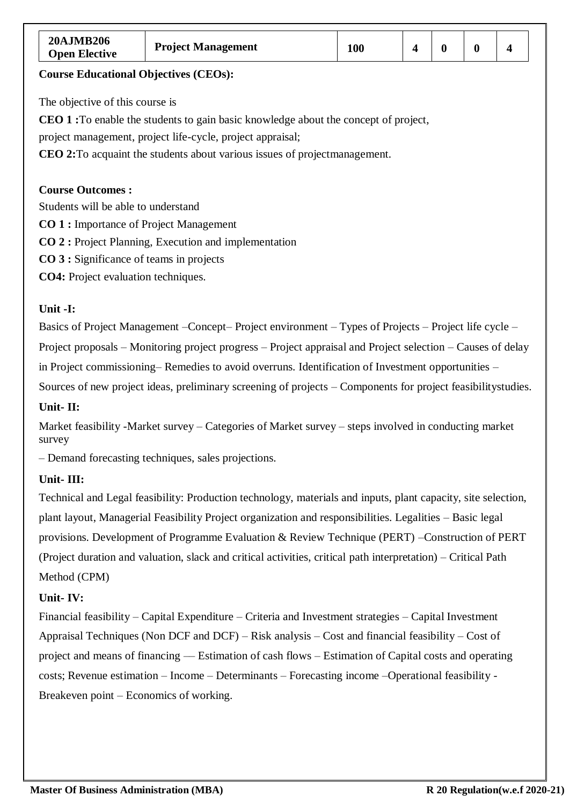| <b>20AJMB206</b><br><b>Open Elective</b> | <b>Project Management</b> | 100 |  |  |  |  |
|------------------------------------------|---------------------------|-----|--|--|--|--|
|------------------------------------------|---------------------------|-----|--|--|--|--|

The objective of this course is

**CEO 1 :**To enable the students to gain basic knowledge about the concept of project,

project management, project life-cycle, project appraisal;

**CEO 2:**To acquaint the students about various issues of projectmanagement.

#### **Course Outcomes :**

Students will be able to understand

- **CO 1 :** Importance of Project Management
- **CO 2 :** Project Planning, Execution and implementation
- **CO 3 :** Significance of teams in projects

**CO4:** Project evaluation techniques.

### **Unit -I:**

Basics of Project Management –Concept– Project environment – Types of Projects – Project life cycle – Project proposals – Monitoring project progress – Project appraisal and Project selection – Causes of delay in Project commissioning– Remedies to avoid overruns. Identification of Investment opportunities – Sources of new project ideas, preliminary screening of projects – Components for project feasibilitystudies.

#### **Unit- II:**

Market feasibility -Market survey – Categories of Market survey – steps involved in conducting market survey

– Demand forecasting techniques, sales projections.

# **Unit- III:**

Technical and Legal feasibility: Production technology, materials and inputs, plant capacity, site selection, plant layout, Managerial Feasibility Project organization and responsibilities. Legalities – Basic legal provisions. Development of Programme Evaluation & Review Technique (PERT) –Construction of PERT (Project duration and valuation, slack and critical activities, critical path interpretation) – Critical Path Method (CPM)

#### **Unit- IV:**

Financial feasibility – Capital Expenditure – Criteria and Investment strategies – Capital Investment Appraisal Techniques (Non DCF and DCF) – Risk analysis – Cost and financial feasibility – Cost of project and means of financing –– Estimation of cash flows – Estimation of Capital costs and operating costs; Revenue estimation – Income – Determinants – Forecasting income –Operational feasibility - Breakeven point – Economics of working.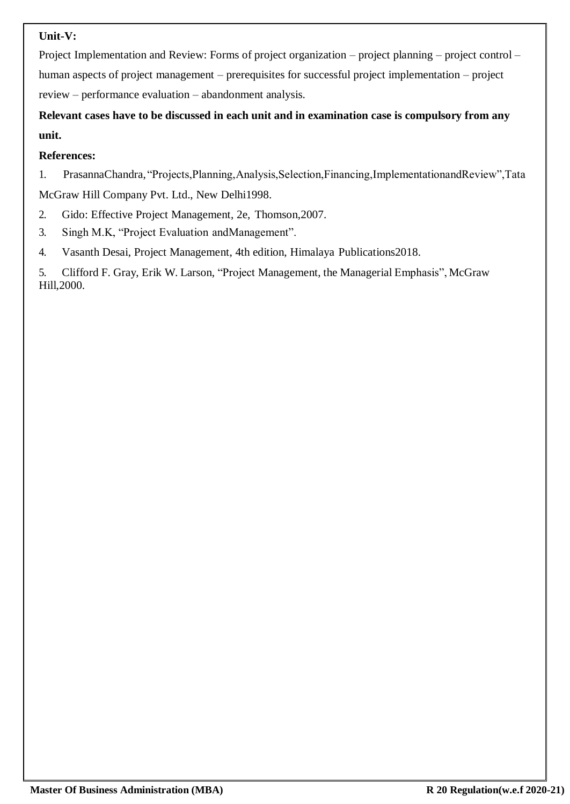# **Unit-V:**

Project Implementation and Review: Forms of project organization – project planning – project control – human aspects of project management – prerequisites for successful project implementation – project review – performance evaluation – abandonment analysis.

**Relevant cases have to be discussed in each unit and in examination case is compulsory from any unit.**

# **References:**

1. PrasannaChandra, "Projects,Planning,Analysis,Selection,Financing,ImplementationandReview",Tata McGraw Hill Company Pvt. Ltd., New Delhi1998.

- 2. Gido: Effective Project Management, 2e, Thomson,2007.
- 3. Singh M.K, "Project Evaluation andManagement".
- 4. Vasanth Desai, Project Management, 4th edition, Himalaya Publications2018.

5. Clifford F. Gray, Erik W. Larson, "Project Management, the Managerial Emphasis", McGraw Hill,2000.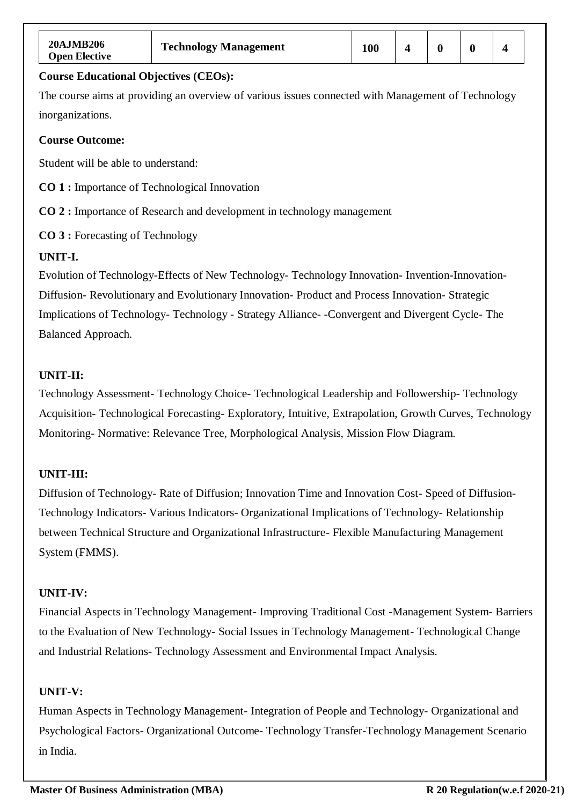| 20AJMB206<br><b>Open Elective</b>                   | <b>Technology Management</b>                                                                       | 100 | $\overline{\mathbf{4}}$ | $\bf{0}$ | $\bf{0}$ | $\overline{\mathbf{4}}$ |  |  |
|-----------------------------------------------------|----------------------------------------------------------------------------------------------------|-----|-------------------------|----------|----------|-------------------------|--|--|
| <b>Course Educational Objectives (CEOs):</b>        |                                                                                                    |     |                         |          |          |                         |  |  |
|                                                     | The course aims at providing an overview of various issues connected with Management of Technology |     |                         |          |          |                         |  |  |
| inorganizations.                                    |                                                                                                    |     |                         |          |          |                         |  |  |
| <b>Course Outcome:</b>                              |                                                                                                    |     |                         |          |          |                         |  |  |
| Student will be able to understand:                 |                                                                                                    |     |                         |          |          |                         |  |  |
| <b>CO 1:</b> Importance of Technological Innovation |                                                                                                    |     |                         |          |          |                         |  |  |
|                                                     | <b>CO 2</b> : Importance of Research and development in technology management                      |     |                         |          |          |                         |  |  |
| <b>CO 3 :</b> Forecasting of Technology             |                                                                                                    |     |                         |          |          |                         |  |  |
| UNIT-I.                                             |                                                                                                    |     |                         |          |          |                         |  |  |
|                                                     | Evolution of Technology-Effects of New Technology- Technology Innovation- Invention-Innovation-    |     |                         |          |          |                         |  |  |
|                                                     | Diffusion-Revolutionary and Evolutionary Innovation-Product and Process Innovation-Strategic       |     |                         |          |          |                         |  |  |
|                                                     | Implications of Technology- Technology - Strategy Alliance - Convergent and Divergent Cycle- The   |     |                         |          |          |                         |  |  |
| Balanced Approach.                                  |                                                                                                    |     |                         |          |          |                         |  |  |

# **UNIT-II:**

Technology Assessment- Technology Choice- Technological Leadership and Followership- Technology Acquisition- Technological Forecasting- Exploratory, Intuitive, Extrapolation, Growth Curves, Technology Monitoring- Normative: Relevance Tree, Morphological Analysis, Mission Flow Diagram.

# **UNIT-III:**

Diffusion of Technology- Rate of Diffusion; Innovation Time and Innovation Cost- Speed of Diffusion-Technology Indicators- Various Indicators- Organizational Implications of Technology- Relationship between Technical Structure and Organizational Infrastructure- Flexible Manufacturing Management System (FMMS).

# **UNIT-IV:**

Financial Aspects in Technology Management- Improving Traditional Cost -Management System- Barriers to the Evaluation of New Technology- Social Issues in Technology Management- Technological Change and Industrial Relations- Technology Assessment and Environmental Impact Analysis.

#### **UNIT-V:**

Human Aspects in Technology Management- Integration of People and Technology- Organizational and Psychological Factors- Organizational Outcome- Technology Transfer-Technology Management Scenario in India.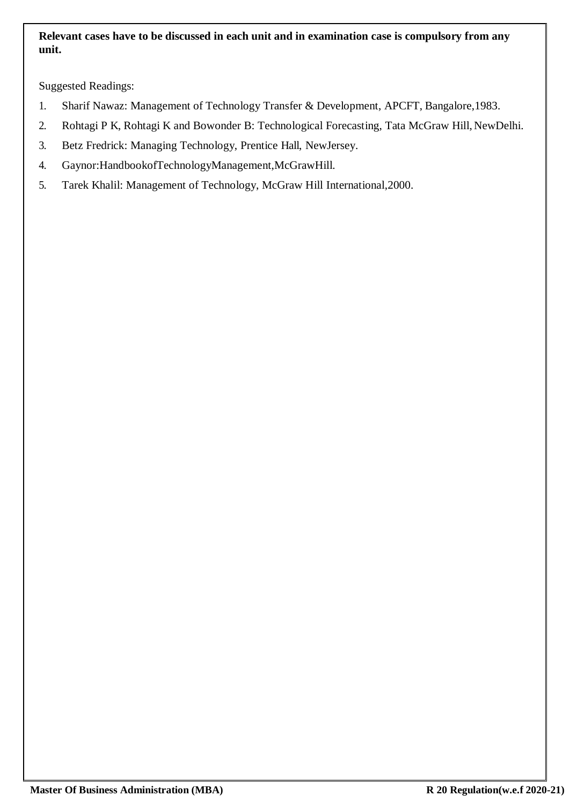# **Relevant cases have to be discussed in each unit and in examination case is compulsory from any unit.**

Suggested Readings:

- 1. Sharif Nawaz: Management of Technology Transfer & Development, APCFT, Bangalore,1983.
- 2. Rohtagi P K, Rohtagi K and Bowonder B: Technological Forecasting, Tata McGraw Hill, NewDelhi.
- 3. Betz Fredrick: Managing Technology, Prentice Hall, NewJersey.
- 4. Gaynor:HandbookofTechnologyManagement,McGrawHill.
- 5. Tarek Khalil: Management of Technology, McGraw Hill International,2000.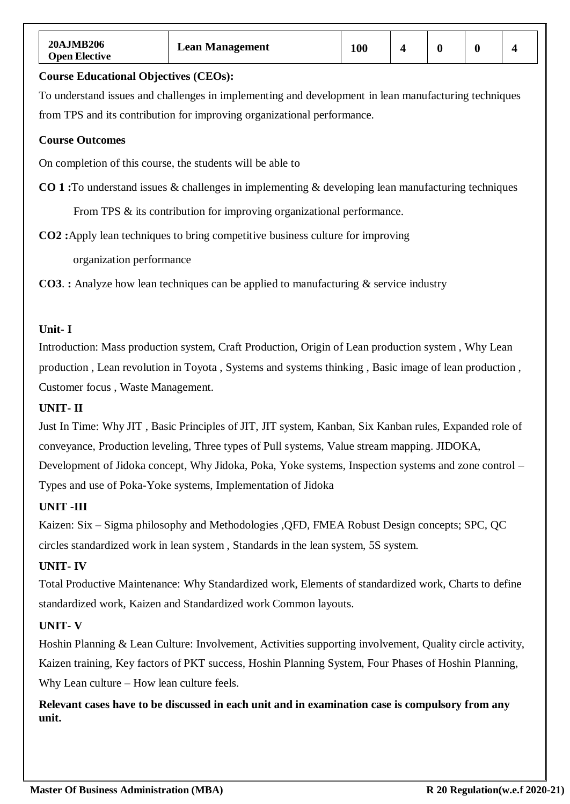| <b>20AJMB206</b><br><b>Open Elective</b>                                                             | <b>Lean Management</b>                                                                                    | <b>100</b> | $\overline{\mathbf{4}}$ | $\boldsymbol{0}$ | $\bf{0}$ |  |  |  |
|------------------------------------------------------------------------------------------------------|-----------------------------------------------------------------------------------------------------------|------------|-------------------------|------------------|----------|--|--|--|
| <b>Course Educational Objectives (CEOs):</b>                                                         |                                                                                                           |            |                         |                  |          |  |  |  |
| To understand issues and challenges in implementing and development in lean manufacturing techniques |                                                                                                           |            |                         |                  |          |  |  |  |
|                                                                                                      | from TPS and its contribution for improving organizational performance.                                   |            |                         |                  |          |  |  |  |
| <b>Course Outcomes</b>                                                                               |                                                                                                           |            |                         |                  |          |  |  |  |
|                                                                                                      | On completion of this course, the students will be able to                                                |            |                         |                  |          |  |  |  |
|                                                                                                      | <b>CO 1:</b> To understand issues & challenges in implementing & developing lean manufacturing techniques |            |                         |                  |          |  |  |  |
| From TPS & its contribution for improving organizational performance.                                |                                                                                                           |            |                         |                  |          |  |  |  |
| <b>CO2</b> : Apply lean techniques to bring competitive business culture for improving               |                                                                                                           |            |                         |                  |          |  |  |  |
| organization performance                                                                             |                                                                                                           |            |                         |                  |          |  |  |  |

**CO3**. **:** Analyze how lean techniques can be applied to manufacturing & service industry

# **Unit- I**

Introduction: Mass production system, Craft Production, Origin of Lean production system , Why Lean production , Lean revolution in Toyota , Systems and systems thinking , Basic image of lean production , Customer focus , Waste Management.

### **UNIT- II**

Just In Time: Why JIT , Basic Principles of JIT, JIT system, Kanban, Six Kanban rules, Expanded role of conveyance, Production leveling, Three types of Pull systems, Value stream mapping. JIDOKA, Development of Jidoka concept, Why Jidoka, Poka, Yoke systems, Inspection systems and zone control – Types and use of Poka-Yoke systems, Implementation of Jidoka

#### **UNIT -III**

Kaizen: Six – Sigma philosophy and Methodologies ,QFD, FMEA Robust Design concepts; SPC, QC circles standardized work in lean system , Standards in the lean system, 5S system.

# **UNIT- IV**

Total Productive Maintenance: Why Standardized work, Elements of standardized work, Charts to define standardized work, Kaizen and Standardized work Common layouts.

# **UNIT- V**

Hoshin Planning & Lean Culture: Involvement, Activities supporting involvement, Quality circle activity, Kaizen training, Key factors of PKT success, Hoshin Planning System, Four Phases of Hoshin Planning, Why Lean culture – How lean culture feels.

**Relevant cases have to be discussed in each unit and in examination case is compulsory from any unit.**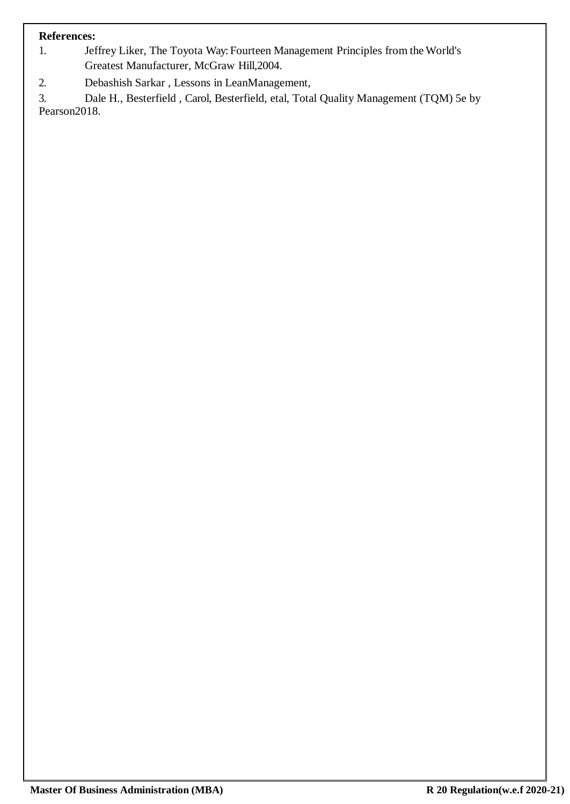- 1. Jeffrey Liker, The Toyota Way: Fourteen Management Principles from theWorld's Greatest Manufacturer, McGraw Hill,2004.
- 2. Debashish Sarkar , Lessons in LeanManagement,

3. [Dale H., Besterfield , Carol, Besterfield, e](https://www.amazon.in/s/ref%3Ddp_byline_sr_book_1?ie=UTF8&%3Bamp%3Bamp%3Bamp%3Bfield-author=Dale%2BH.%2C%2BBesterfield&%3Bamp%3Bamp%3Bamp%3Bsearch-alias=stripbooks)tal, Total Quality Management (TQM) 5e by Pearson2018.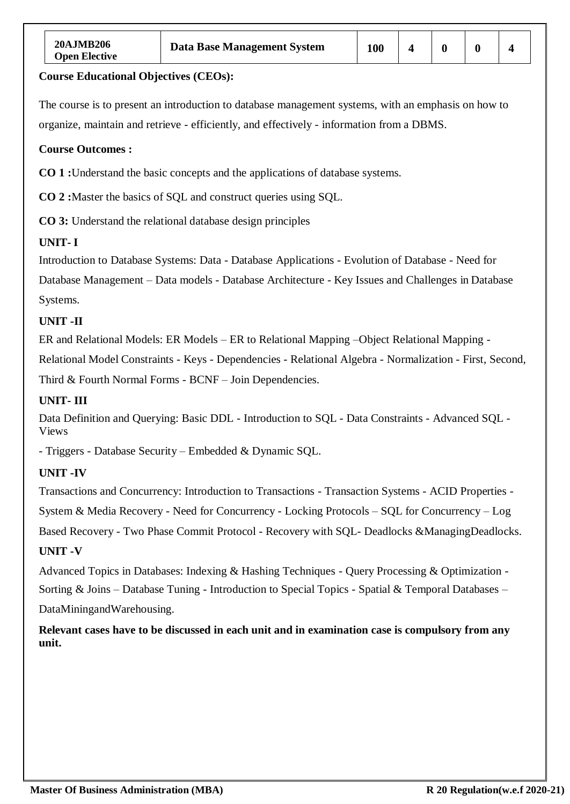The course is to present an introduction to database management systems, with an emphasis on how to organize, maintain and retrieve - efficiently, and effectively - information from a DBMS.

#### **Course Outcomes :**

**CO 1 :**Understand the basic concepts and the applications of database systems.

**CO 2 :**Master the basics of SQL and construct queries using SQL.

**CO 3:** Understand the relational database design principles

# **UNIT- I**

Introduction to Database Systems: Data - Database Applications - Evolution of Database - Need for

Database Management – Data models - Database Architecture - Key Issues and Challenges in Database Systems.

### **UNIT -II**

ER and Relational Models: ER Models – ER to Relational Mapping –Object Relational Mapping -

Relational Model Constraints - Keys - Dependencies - Relational Algebra - Normalization - First, Second,

Third & Fourth Normal Forms - BCNF – Join Dependencies.

### **UNIT- III**

Data Definition and Querying: Basic DDL - Introduction to SQL - Data Constraints - Advanced SQL - Views

- Triggers - Database Security – Embedded & Dynamic SQL.

# **UNIT -IV**

Transactions and Concurrency: Introduction to Transactions - Transaction Systems - ACID Properties -

System & Media Recovery - Need for Concurrency - Locking Protocols – SQL for Concurrency – Log

Based Recovery - Two Phase Commit Protocol - Recovery with SQL- Deadlocks &ManagingDeadlocks. **UNIT -V**

Advanced Topics in Databases: Indexing & Hashing Techniques - Query Processing & Optimization - Sorting & Joins – Database Tuning - Introduction to Special Topics - Spatial & Temporal Databases – DataMiningandWarehousing.

**Relevant cases have to be discussed in each unit and in examination case is compulsory from any unit.**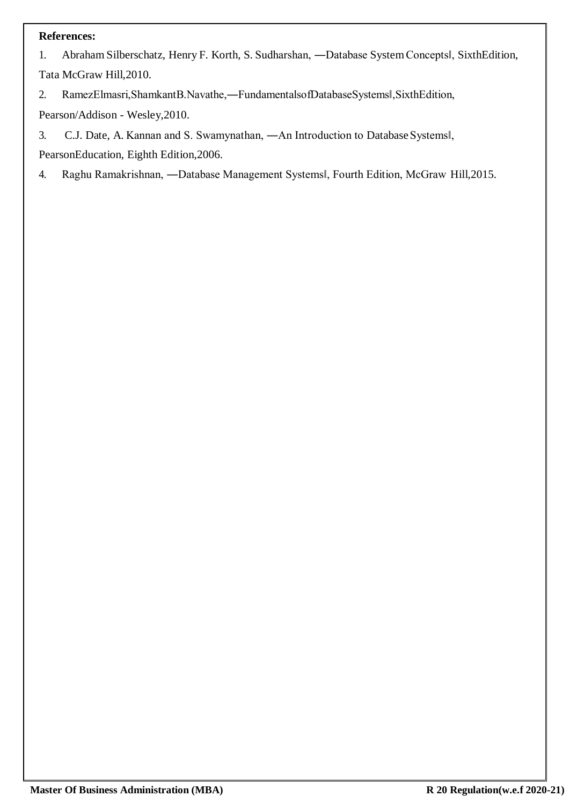1. Abraham Silberschatz, Henry F. Korth, S. Sudharshan, ―Database SystemConcepts‖, SixthEdition, Tata McGraw Hill,2010.

2. RamezElmasri,ShamkantB.Navathe,―FundamentalsofDatabaseSystems‖,SixthEdition,

Pearson/Addison - Wesley,2010.

3. C.J. Date, A. Kannan and S. Swamynathan, ―An Introduction to Database Systems‖,

PearsonEducation, Eighth Edition,2006.

4. Raghu Ramakrishnan, ―Database Management Systems‖, Fourth Edition, McGraw Hill,2015.